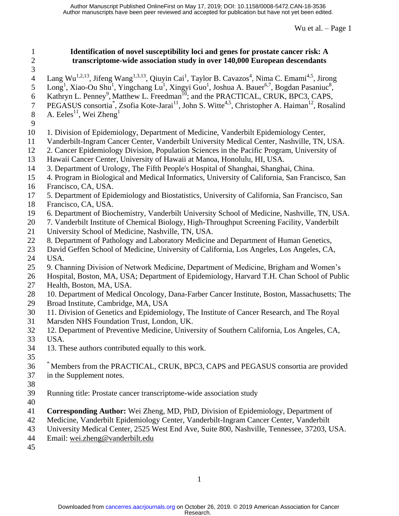## **Identification of novel susceptibility loci and genes for prostate cancer risk: A transcriptome-wide association study in over 140,000 European descendants**

- 4 Lang Wu<sup>1,2,13</sup>, Jifeng Wang<sup>1,3,13</sup>, Qiuyin Cai<sup>1</sup>, Taylor B. Cavazos<sup>4</sup>, Nima C. Emami<sup>4,5</sup>, Jirong
- 5 Long<sup>1</sup>, Xiao-Ou Shu<sup>1</sup>, Yingchang Lu<sup>1</sup>, Xingyi Guo<sup>1</sup>, Joshua A. Bauer<sup>6,7</sup>, Bogdan Pasaniuc<sup>8</sup>,
- 6 Kathryn L. Penney<sup>9</sup>, Matthew L. Freedman<sup>10</sup>; and the PRACTICAL, CRUK, BPC3, CAPS,
- 7 PEGASUS consortia<sup>\*</sup>, Zsofia Kote-Jarai<sup>11</sup>, John S. Witte<sup>4,5</sup>, Christopher A. Haiman<sup>12</sup>, Rosalind
- A. Eeles $^{11}$ , Wei Zheng $^{1}$
- 
- 1. Division of Epidemiology, Department of Medicine, Vanderbilt Epidemiology Center,
- Vanderbilt-Ingram Cancer Center, Vanderbilt University Medical Center, Nashville, TN, USA.
- 2. Cancer Epidemiology Division, Population Sciences in the Pacific Program, University of
- Hawaii Cancer Center, University of Hawaii at Manoa, Honolulu, HI, USA.
- 3. Department of Urology, The Fifth People's Hospital of Shanghai, Shanghai, China.
- 4. Program in Biological and Medical Informatics, University of California, San Francisco, San
- Francisco, CA, USA.
- 5. Department of Epidemiology and Biostatistics, University of California, San Francisco, San
- Francisco, CA, USA.
- 6. Department of Biochemistry, Vanderbilt University School of Medicine, Nashville, TN, USA.
- 7. Vanderbilt Institute of Chemical Biology, High-Throughput Screening Facility, Vanderbilt
- University School of Medicine, Nashville, TN, USA.
- 8. Department of Pathology and Laboratory Medicine and Department of Human Genetics,
- David Geffen School of Medicine, University of California, Los Angeles, Los Angeles, CA,
- USA.
- 9. Channing Division of Network Medicine, Department of Medicine, Brigham and Women's
- Hospital, Boston, MA, USA; Department of Epidemiology, Harvard T.H. Chan School of Public Health, Boston, MA, USA.
- 10. Department of Medical Oncology, Dana-Farber Cancer Institute, Boston, Massachusetts; The
- Broad Institute, Cambridge, MA, USA
- 11. Division of Genetics and Epidemiology, The Institute of Cancer Research, and The Royal
- Marsden NHS Foundation Trust, London, UK.
- 12. Department of Preventive Medicine, University of Southern California, Los Angeles, CA,
- USA.
- 13. These authors contributed equally to this work.
- 
- <sup>\*</sup> Members from the PRACTICAL, CRUK, BPC3, CAPS and PEGASUS consortia are provided in the Supplement notes.
- 
- Running title: Prostate cancer transcriptome-wide association study
- 
- **Corresponding Author:** Wei Zheng, MD, PhD, Division of Epidemiology, Department of
- Medicine, Vanderbilt Epidemiology Center, Vanderbilt-Ingram Cancer Center, Vanderbilt
- University Medical Center, 2525 West End Ave, Suite 800, Nashville, Tennessee, 37203, USA.
- Email: [wei.zheng@vanderbilt.edu](mailto:wei.zheng@vanderbilt.edu)
-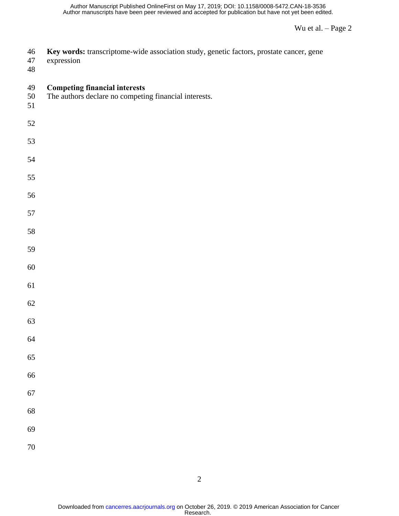| 46<br>$47\,$<br>$\sqrt{48}$ | Key words: transcriptome-wide association study, genetic factors, prostate cancer, gene<br>expression |
|-----------------------------|-------------------------------------------------------------------------------------------------------|
| 49<br>50<br>51              | <b>Competing financial interests</b><br>The authors declare no competing financial interests.         |
| 52                          |                                                                                                       |
| 53                          |                                                                                                       |
| 54                          |                                                                                                       |
| 55                          |                                                                                                       |
| 56                          |                                                                                                       |
| 57                          |                                                                                                       |
| 58                          |                                                                                                       |
| 59                          |                                                                                                       |
| $60\,$                      |                                                                                                       |
| 61                          |                                                                                                       |
| $62\,$                      |                                                                                                       |
| 63                          |                                                                                                       |
| 64                          |                                                                                                       |
| 65                          |                                                                                                       |
| 66                          |                                                                                                       |
| 67                          |                                                                                                       |
| 68                          |                                                                                                       |
| 69                          |                                                                                                       |
| $70\,$                      |                                                                                                       |
|                             |                                                                                                       |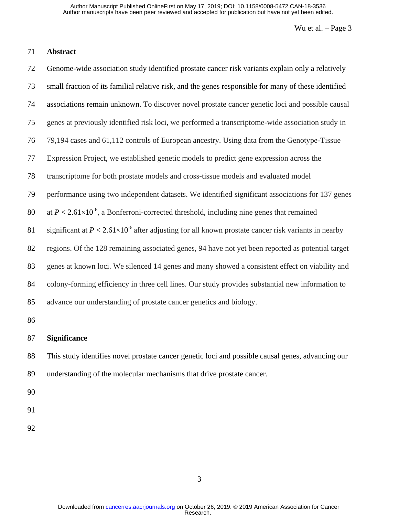## **Abstract**

 Genome-wide association study identified prostate cancer risk variants explain only a relatively small fraction of its familial relative risk, and the genes responsible for many of these identified associations remain unknown. To discover novel prostate cancer genetic loci and possible causal genes at previously identified risk loci, we performed a transcriptome-wide association study in 79,194 cases and 61,112 controls of European ancestry. Using data from the Genotype-Tissue Expression Project, we established genetic models to predict gene expression across the transcriptome for both prostate models and cross-tissue models and evaluated model performance using two independent datasets. We identified significant associations for 137 genes 80 at  $P < 2.61 \times 10^{-6}$ , a Bonferroni-corrected threshold, including nine genes that remained 81 significant at  $P < 2.61 \times 10^{-6}$  after adjusting for all known prostate cancer risk variants in nearby regions. Of the 128 remaining associated genes, 94 have not yet been reported as potential target genes at known loci. We silenced 14 genes and many showed a consistent effect on viability and colony-forming efficiency in three cell lines. Our study provides substantial new information to advance our understanding of prostate cancer genetics and biology. 

#### **Significance**

 This study identifies novel prostate cancer genetic loci and possible causal genes, advancing our understanding of the molecular mechanisms that drive prostate cancer.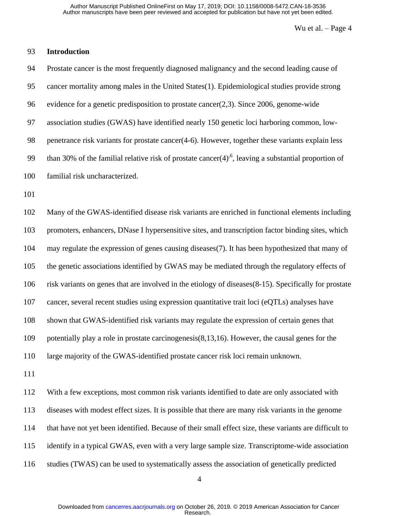# **Introduction**

| 94  | Prostate cancer is the most frequently diagnosed malignancy and the second leading cause of                        |
|-----|--------------------------------------------------------------------------------------------------------------------|
| 95  | cancer mortality among males in the United States(1). Epidemiological studies provide strong                       |
| 96  | evidence for a genetic predisposition to prostate cancer $(2,3)$ . Since 2006, genome-wide                         |
| 97  | association studies (GWAS) have identified nearly 150 genetic loci harboring common, low-                          |
| 98  | penetrance risk variants for prostate cancer(4-6). However, together these variants explain less                   |
| 99  | than 30% of the familial relative risk of prostate cancer $(4)$ <sup>6</sup> , leaving a substantial proportion of |
| 100 | familial risk uncharacterized.                                                                                     |
| 101 |                                                                                                                    |
| 102 | Many of the GWAS-identified disease risk variants are enriched in functional elements including                    |
| 103 | promoters, enhancers, DNase I hypersensitive sites, and transcription factor binding sites, which                  |
| 104 | may regulate the expression of genes causing diseases(7). It has been hypothesized that many of                    |
| 105 | the genetic associations identified by GWAS may be mediated through the regulatory effects of                      |
| 106 | risk variants on genes that are involved in the etiology of diseases(8-15). Specifically for prostate              |
| 107 | cancer, several recent studies using expression quantitative trait loci (eQTLs) analyses have                      |
| 108 | shown that GWAS-identified risk variants may regulate the expression of certain genes that                         |
| 109 | potentially play a role in prostate carcinogenesis $(8,13,16)$ . However, the causal genes for the                 |
| 110 | large majority of the GWAS-identified prostate cancer risk loci remain unknown.                                    |
| 111 |                                                                                                                    |
| 112 | With a few exceptions, most common risk variants identified to date are only associated with                       |
| 113 | diseases with modest effect sizes. It is possible that there are many risk variants in the genome                  |
| 114 | that have not yet been identified. Because of their small effect size, these variants are difficult to             |

identify in a typical GWAS, even with a very large sample size. Transcriptome-wide association

studies (TWAS) can be used to systematically assess the association of genetically predicted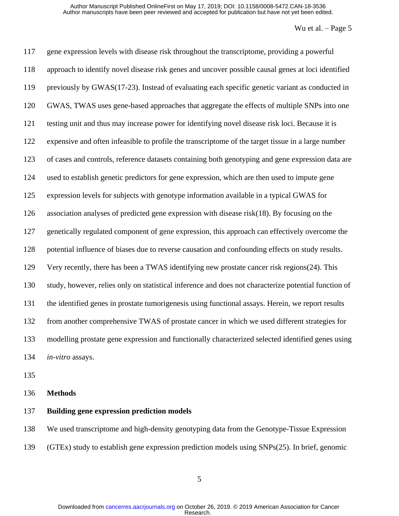gene expression levels with disease risk throughout the transcriptome, providing a powerful approach to identify novel disease risk genes and uncover possible causal genes at loci identified previously by GWAS[\(17-23\)](#page-25-0). Instead of evaluating each specific genetic variant as conducted in GWAS, TWAS uses gene-based approaches that aggregate the effects of multiple SNPs into one testing unit and thus may increase power for identifying novel disease risk loci. Because it is expensive and often infeasible to profile the transcriptome of the target tissue in a large number of cases and controls, reference datasets containing both genotyping and gene expression data are used to establish genetic predictors for gene expression, which are then used to impute gene expression levels for subjects with genotype information available in a typical GWAS for association analyses of predicted gene expression with disease risk[\(18\)](#page-25-1). By focusing on the genetically regulated component of gene expression, this approach can effectively overcome the potential influence of biases due to reverse causation and confounding effects on study results. Very recently, there has been a TWAS identifying new prostate cancer risk regions[\(24\)](#page-25-2). This study, however, relies only on statistical inference and does not characterize potential function of the identified genes in prostate tumorigenesis using functional assays. Herein, we report results from another comprehensive TWAS of prostate cancer in which we used different strategies for modelling prostate gene expression and functionally characterized selected identified genes using *in-vitro* assays.

#### **Methods**

#### **Building gene expression prediction models**

We used transcriptome and high-density genotyping data from the Genotype-Tissue Expression

(GTEx) study to establish gene expression prediction models using SNPs[\(25\)](#page-25-3). In brief, genomic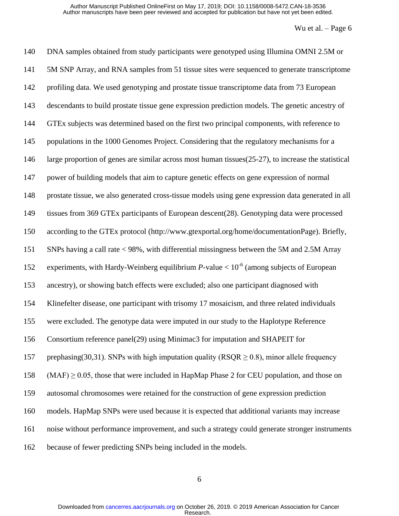| 140 | DNA samples obtained from study participants were genotyped using Illumina OMNI 2.5M or             |
|-----|-----------------------------------------------------------------------------------------------------|
| 141 | 5M SNP Array, and RNA samples from 51 tissue sites were sequenced to generate transcriptome         |
| 142 | profiling data. We used genotyping and prostate tissue transcriptome data from 73 European          |
| 143 | descendants to build prostate tissue gene expression prediction models. The genetic ancestry of     |
| 144 | GTEx subjects was determined based on the first two principal components, with reference to         |
| 145 | populations in the 1000 Genomes Project. Considering that the regulatory mechanisms for a           |
| 146 | large proportion of genes are similar across most human tissues(25-27), to increase the statistical |
| 147 | power of building models that aim to capture genetic effects on gene expression of normal           |
| 148 | prostate tissue, we also generated cross-tissue models using gene expression data generated in all  |
| 149 | tissues from 369 GTEx participants of European descent(28). Genotyping data were processed          |
| 150 | according to the GTEx protocol (http://www.gtexportal.org/home/documentationPage). Briefly,         |
| 151 | SNPs having a call rate < 98%, with differential missingness between the 5M and 2.5M Array          |
| 152 | experiments, with Hardy-Weinberg equilibrium $P$ -value < $10^{-6}$ (among subjects of European     |
| 153 | ancestry), or showing batch effects were excluded; also one participant diagnosed with              |
| 154 | Klinefelter disease, one participant with trisomy 17 mosaicism, and three related individuals       |
| 155 | were excluded. The genotype data were imputed in our study to the Haplotype Reference               |
| 156 | Consortium reference panel(29) using Minimac3 for imputation and SHAPEIT for                        |
| 157 | prephasing (30,31). SNPs with high imputation quality (RSQR $\geq$ 0.8), minor allele frequency     |
| 158 | $(MAF) \ge 0.05$ , those that were included in HapMap Phase 2 for CEU population, and those on      |
| 159 | autosomal chromosomes were retained for the construction of gene expression prediction              |
| 160 | models. HapMap SNPs were used because it is expected that additional variants may increase          |
| 161 | noise without performance improvement, and such a strategy could generate stronger instruments      |
| 162 | because of fewer predicting SNPs being included in the models.                                      |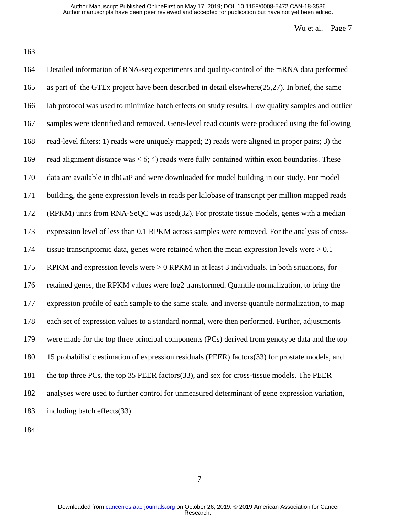Detailed information of RNA-seq experiments and quality-control of the mRNA data performed as part of the GTEx project have been described in detail elsewhere[\(25](#page-25-3)[,27\)](#page-25-8). In brief, the same lab protocol was used to minimize batch effects on study results. Low quality samples and outlier samples were identified and removed. Gene-level read counts were produced using the following read-level filters: 1) reads were uniquely mapped; 2) reads were aligned in proper pairs; 3) the 169 read alignment distance was  $\leq 6$ ; 4) reads were fully contained within exon boundaries. These data are available in dbGaP and were downloaded for model building in our study. For model building, the gene expression levels in reads per kilobase of transcript per million mapped reads (RPKM) units from RNA-SeQC was used[\(32\)](#page-25-9). For prostate tissue models, genes with a median expression level of less than 0.1 RPKM across samples were removed. For the analysis of cross- tissue transcriptomic data, genes were retained when the mean expression levels were > 0.1 RPKM and expression levels were > 0 RPKM in at least 3 individuals. In both situations, for retained genes, the RPKM values were log2 transformed. Quantile normalization, to bring the expression profile of each sample to the same scale, and inverse quantile normalization, to map each set of expression values to a standard normal, were then performed. Further, adjustments were made for the top three principal components (PCs) derived from genotype data and the top 15 probabilistic estimation of expression residuals (PEER) factors[\(33\)](#page-26-0) for prostate models, and the top three PCs, the top 35 PEER factors[\(33\)](#page-26-0), and sex for cross-tissue models. The PEER analyses were used to further control for unmeasured determinant of gene expression variation, including batch effects[\(33\)](#page-26-0).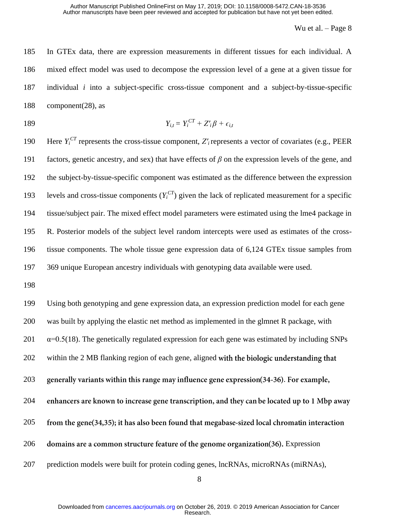In GTEx data, there are expression measurements in different tissues for each individual. A mixed effect model was used to decompose the expression level of a gene at a given tissue for individual *i* into a subject-specific cross-tissue component and a subject-by-tissue-specific component[\(28\)](#page-25-4), as

$$
Y_{i,t} = Y_i^{CT} + Z_i^{\prime} \beta + \epsilon_{i,t}
$$

190 Here  $Y_i^{CT}$  represents the cross-tissue component,  $Z_i$  represents a vector of covariates (e.g., PEER factors, genetic ancestry, and sex) that have effects of *β* on the expression levels of the gene, and the subject-by-tissue-specific component was estimated as the difference between the expression 193 levels and cross-tissue components  $(Y_i^{CT})$  given the lack of replicated measurement for a specific tissue/subject pair. The mixed effect model parameters were estimated using the lme4 package in R. Posterior models of the subject level random intercepts were used as estimates of the cross- tissue components. The whole tissue gene expression data of 6,124 GTEx tissue samples from 369 unique European ancestry individuals with genotyping data available were used.

198

199 Using both genotyping and gene expression data, an expression prediction model for each gene 200 was built by applying the elastic net method as implemented in the glmnet R package, with  $201 \alpha$  =0.5[\(18\)](#page-25-1). The genetically regulated expression for each gene was estimated by including SNPs 202 within the 2 MB flanking region of each gene, aligned with the biologic understanding that 203 generally variants within this range may influence gene expression(34-36). For example, 204 enhancers are known to increase gene transcription, and they can be located up to 1 Mbp away 205 from the gene(34,35); it has also been found that megabase-sized local chromatin interaction 206 domains are a common structure feature of the genome organization(36). Expression 207 prediction models were built for protein coding genes, lncRNAs, microRNAs (miRNAs),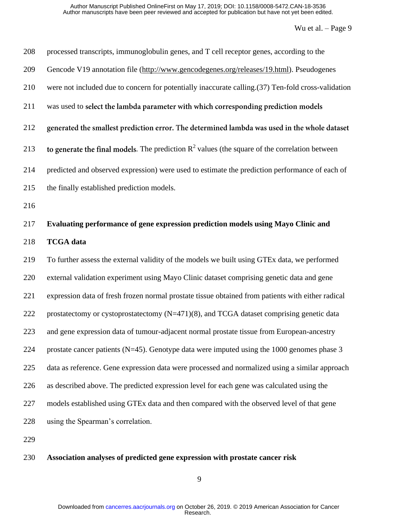| 208 | processed transcripts, immunoglobulin genes, and T cell receptor genes, according to the            |
|-----|-----------------------------------------------------------------------------------------------------|
| 209 | Gencode V19 annotation file (http://www.gencodegenes.org/releases/19.html). Pseudogenes             |
| 210 | were not included due to concern for potentially inaccurate calling. (37) Ten-fold cross-validation |
| 211 | was used to select the lambda parameter with which corresponding prediction models                  |
| 212 | generated the smallest prediction error. The determined lambda was used in the whole dataset        |
| 213 | to generate the final models. The prediction $R^2$ values (the square of the correlation between    |
| 214 | predicted and observed expression) were used to estimate the prediction performance of each of      |
| 215 | the finally established prediction models.                                                          |
| 216 |                                                                                                     |
| 217 | Evaluating performance of gene expression prediction models using Mayo Clinic and                   |
| 218 | <b>TCGA</b> data                                                                                    |
| 219 | To further assess the external validity of the models we built using GTEx data, we performed        |
| 220 | external validation experiment using Mayo Clinic dataset comprising genetic data and gene           |
| 221 | expression data of fresh frozen normal prostate tissue obtained from patients with either radical   |
| 222 | prostatectomy or cystoprostatectomy (N=471)(8), and TCGA dataset comprising genetic data            |
| 223 | and gene expression data of tumour-adjacent normal prostate tissue from European-ancestry           |
| 224 | prostate cancer patients ( $N=45$ ). Genotype data were imputed using the 1000 genomes phase 3      |
| 225 | data as reference. Gene expression data were processed and normalized using a similar approach      |
| 226 | as described above. The predicted expression level for each gene was calculated using the           |
| 227 | models established using GTEx data and then compared with the observed level of that gene           |
| 228 | using the Spearman's correlation.                                                                   |
| 229 |                                                                                                     |

## **Association analyses of predicted gene expression with prostate cancer risk**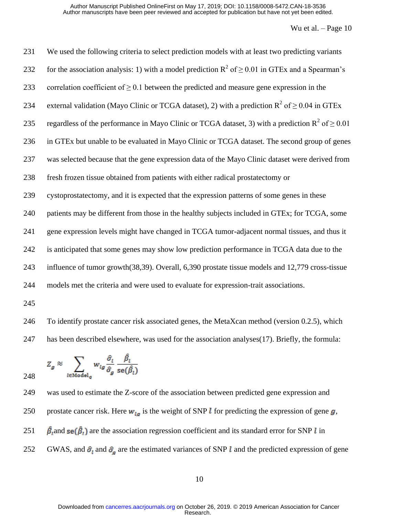| 231                | We used the following criteria to select prediction models with at least two predicting variants                                                                         |
|--------------------|--------------------------------------------------------------------------------------------------------------------------------------------------------------------------|
| 232                | for the association analysis: 1) with a model prediction $R^2$ of $\geq 0.01$ in GTEx and a Spearman's                                                                   |
| 233                | correlation coefficient of $\geq$ 0.1 between the predicted and measure gene expression in the                                                                           |
| 234                | external validation (Mayo Clinic or TCGA dataset), 2) with a prediction $R^2$ of $\geq 0.04$ in GTEx                                                                     |
| 235                | regardless of the performance in Mayo Clinic or TCGA dataset, 3) with a prediction $R^2$ of $\geq 0.01$                                                                  |
| 236                | in GTEx but unable to be evaluated in Mayo Clinic or TCGA dataset. The second group of genes                                                                             |
| 237                | was selected because that the gene expression data of the Mayo Clinic dataset were derived from                                                                          |
| 238                | fresh frozen tissue obtained from patients with either radical prostatectomy or                                                                                          |
| 239                | cystoprostatectomy, and it is expected that the expression patterns of some genes in these                                                                               |
| 240                | patients may be different from those in the healthy subjects included in GTEx; for TCGA, some                                                                            |
| 241                | gene expression levels might have changed in TCGA tumor-adjacent normal tissues, and thus it                                                                             |
| 242                | is anticipated that some genes may show low prediction performance in TCGA data due to the                                                                               |
| 243                | influence of tumor growth(38,39). Overall, 6,390 prostate tissue models and 12,779 cross-tissue                                                                          |
| 244                | models met the criteria and were used to evaluate for expression-trait associations.                                                                                     |
| 245                |                                                                                                                                                                          |
| $\bigcap_{\alpha}$ | $\mathbf{T}$ , the difference of the contract of the distribution of $\mathbf{M}$ of $\mathbf{V}$ are seed on $\mathbf{A}$ (constant $\mathbf{A}$ $\mathbf{A}$ ) and the |

 To identify prostate cancer risk associated genes, the MetaXcan method (version 0.2.5), which has been described elsewhere, was used for the association analyses[\(17\)](#page-25-0). Briefly, the formula:

$$
Z_g \approx \sum_{l \in \text{Model}_q} w_{lg} \frac{\hat{\sigma}_l}{\hat{\sigma}_g} \frac{\beta_l}{\text{se}(\hat{\beta}_l)}
$$

 was used to estimate the Z-score of the association between predicted gene expression and 250 prostate cancer risk. Here  $w_{lq}$  is the weight of SNP *l* for predicting the expression of gene  $g$ , 251  $\hat{\beta}_1$  and se $(\hat{\beta}_1)$  are the association regression coefficient and its standard error for SNP *l* in 252 GWAS, and  $\hat{\sigma}_l$  and  $\hat{\sigma}_g$  are the estimated variances of SNP l and the predicted expression of gene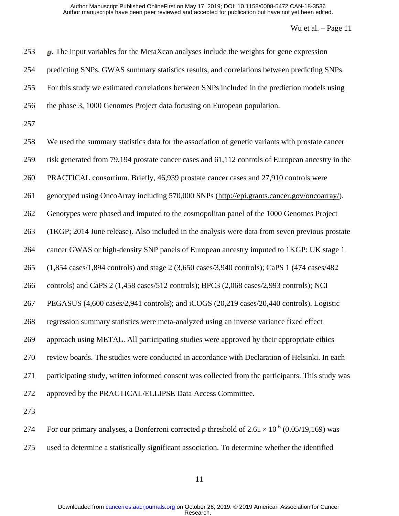| 253 | $g$ . The input variables for the MetaXcan analyses include the weights for gene expression                                                 |
|-----|---------------------------------------------------------------------------------------------------------------------------------------------|
| 254 | predicting SNPs, GWAS summary statistics results, and correlations between predicting SNPs.                                                 |
| 255 | For this study we estimated correlations between SNPs included in the prediction models using                                               |
| 256 | the phase 3, 1000 Genomes Project data focusing on European population.                                                                     |
| 257 |                                                                                                                                             |
| 258 | We used the summary statistics data for the association of genetic variants with prostate cancer                                            |
| 259 | risk generated from 79,194 prostate cancer cases and 61,112 controls of European ancestry in the                                            |
| 260 | PRACTICAL consortium. Briefly, 46,939 prostate cancer cases and 27,910 controls were                                                        |
| 261 | genotyped using OncoArray including 570,000 SNPs (http://epi.grants.cancer.gov/oncoarray/).                                                 |
| 262 | Genotypes were phased and imputed to the cosmopolitan panel of the 1000 Genomes Project                                                     |
| 263 | (1KGP; 2014 June release). Also included in the analysis were data from seven previous prostate                                             |
| 264 | cancer GWAS or high-density SNP panels of European ancestry imputed to 1KGP: UK stage 1                                                     |
| 265 | $(1,854 \text{ cases}/1,894 \text{ controls})$ and stage 2 $(3,650 \text{ cases}/3,940 \text{ controls})$ ; CaPS 1 $(474 \text{ cases}/482$ |
| 266 | controls) and CaPS 2 (1,458 cases/512 controls); BPC3 (2,068 cases/2,993 controls); NCI                                                     |
| 267 | PEGASUS (4,600 cases/2,941 controls); and iCOGS (20,219 cases/20,440 controls). Logistic                                                    |
| 268 | regression summary statistics were meta-analyzed using an inverse variance fixed effect                                                     |
| 269 | approach using METAL. All participating studies were approved by their appropriate ethics                                                   |
| 270 | review boards. The studies were conducted in accordance with Declaration of Helsinki. In each                                               |
| 271 | participating study, written informed consent was collected from the participants. This study was                                           |
| 272 | approved by the PRACTICAL/ELLIPSE Data Access Committee.                                                                                    |
| 273 |                                                                                                                                             |
| 274 | For our primary analyses, a Bonferroni corrected p threshold of $2.61 \times 10^{-6}$ (0.05/19,169) was                                     |

used to determine a statistically significant association. To determine whether the identified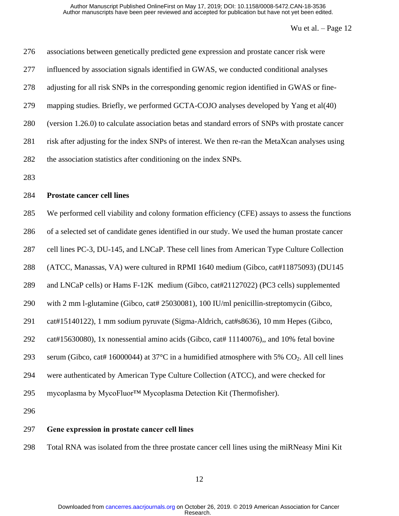| 276 | associations between genetically predicted gene expression and prostate cancer risk were                           |
|-----|--------------------------------------------------------------------------------------------------------------------|
| 277 | influenced by association signals identified in GWAS, we conducted conditional analyses                            |
| 278 | adjusting for all risk SNPs in the corresponding genomic region identified in GWAS or fine-                        |
| 279 | mapping studies. Briefly, we performed GCTA-COJO analyses developed by Yang et al(40)                              |
| 280 | (version 1.26.0) to calculate association betas and standard errors of SNPs with prostate cancer                   |
| 281 | risk after adjusting for the index SNPs of interest. We then re-ran the MetaXcan analyses using                    |
| 282 | the association statistics after conditioning on the index SNPs.                                                   |
| 283 |                                                                                                                    |
| 284 | <b>Prostate cancer cell lines</b>                                                                                  |
| 285 | We performed cell viability and colony formation efficiency (CFE) assays to assess the functions                   |
| 286 | of a selected set of candidate genes identified in our study. We used the human prostate cancer                    |
| 287 | cell lines PC-3, DU-145, and LNCaP. These cell lines from American Type Culture Collection                         |
| 288 | (ATCC, Manassas, VA) were cultured in RPMI 1640 medium (Gibco, cat#11875093) (DU145                                |
| 289 | and LNCaP cells) or Hams F-12K medium (Gibco, cat#21127022) (PC3 cells) supplemented                               |
| 290 | with 2 mm l-glutamine (Gibco, cat# 25030081), 100 IU/ml penicillin-streptomycin (Gibco,                            |
| 291 | cat#15140122), 1 mm sodium pyruvate (Sigma-Aldrich, cat#s8636), 10 mm Hepes (Gibco,                                |
| 292 | cat#15630080), 1x nonessential amino acids (Gibco, cat#11140076), and 10% fetal bovine                             |
| 293 | serum (Gibco, cat# 16000044) at $37^{\circ}$ C in a humidified atmosphere with 5% CO <sub>2</sub> . All cell lines |
| 294 | were authenticated by American Type Culture Collection (ATCC), and were checked for                                |
| 295 | mycoplasma by MycoFluor™ Mycoplasma Detection Kit (Thermofisher).                                                  |
| 296 |                                                                                                                    |
| 297 | Gene expression in prostate cancer cell lines                                                                      |

Total RNA was isolated from the three prostate cancer cell lines using the miRNeasy Mini Kit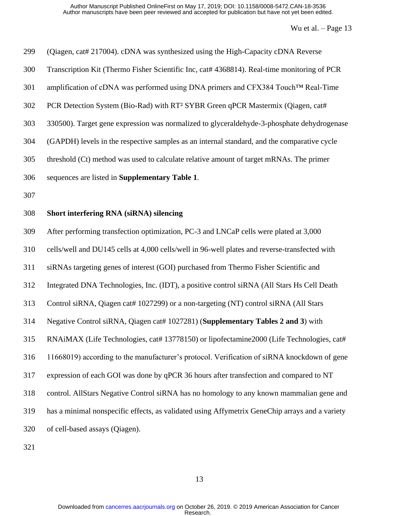| 299 | (Qiagen, cat# 217004). cDNA was synthesized using the High-Capacity cDNA Reverse               |
|-----|------------------------------------------------------------------------------------------------|
| 300 | Transcription Kit (Thermo Fisher Scientific Inc, cat# 4368814). Real-time monitoring of PCR    |
| 301 | amplification of cDNA was performed using DNA primers and CFX384 Touch™ Real-Time              |
| 302 | PCR Detection System (Bio-Rad) with RT <sup>2</sup> SYBR Green qPCR Mastermix (Qiagen, cat#    |
| 303 | 330500). Target gene expression was normalized to glyceraldehyde-3-phosphate dehydrogenase     |
| 304 | (GAPDH) levels in the respective samples as an internal standard, and the comparative cycle    |
| 305 | threshold (Ct) method was used to calculate relative amount of target mRNAs. The primer        |
| 306 | sequences are listed in Supplementary Table 1.                                                 |
| 307 |                                                                                                |
| 308 | Short interfering RNA (siRNA) silencing                                                        |
| 309 | After performing transfection optimization, PC-3 and LNCaP cells were plated at 3,000          |
| 310 | cells/well and DU145 cells at 4,000 cells/well in 96-well plates and reverse-transfected with  |
| 311 | siRNAs targeting genes of interest (GOI) purchased from Thermo Fisher Scientific and           |
| 312 | Integrated DNA Technologies, Inc. (IDT), a positive control siRNA (All Stars Hs Cell Death     |
| 313 | Control siRNA, Qiagen cat# 1027299) or a non-targeting (NT) control siRNA (All Stars           |
| 314 | Negative Control siRNA, Qiagen cat# 1027281) (Supplementary Tables 2 and 3) with               |
| 315 | RNAiMAX (Life Technologies, cat# 13778150) or lipofectamine2000 (Life Technologies, cat#       |
| 316 | 11668019) according to the manufacturer's protocol. Verification of siRNA knockdown of gene    |
| 317 | expression of each GOI was done by qPCR 36 hours after transfection and compared to NT         |
| 318 | control. AllStars Negative Control siRNA has no homology to any known mammalian gene and       |
| 319 | has a minimal nonspecific effects, as validated using Affymetrix GeneChip arrays and a variety |
| 320 | of cell-based assays (Qiagen).                                                                 |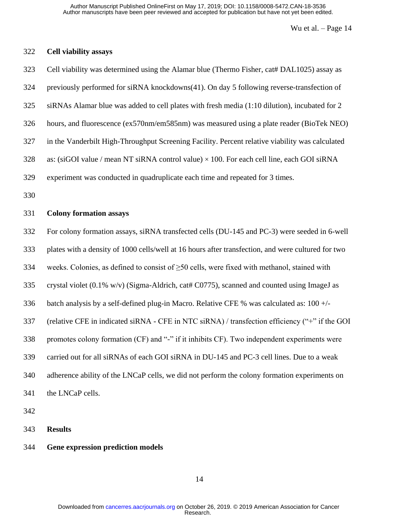# **Cell viability assays**

| 323 | Cell viability was determined using the Alamar blue (Thermo Fisher, cat# DAL1025) assay as         |
|-----|----------------------------------------------------------------------------------------------------|
| 324 | previously performed for siRNA knockdowns(41). On day 5 following reverse-transfection of          |
| 325 | siRNAs Alamar blue was added to cell plates with fresh media (1:10 dilution), incubated for 2      |
| 326 | hours, and fluorescence (ex570nm/em585nm) was measured using a plate reader (BioTek NEO)           |
| 327 | in the Vanderbilt High-Throughput Screening Facility. Percent relative viability was calculated    |
| 328 | as: (siGOI value / mean NT siRNA control value) $\times$ 100. For each cell line, each GOI siRNA   |
| 329 | experiment was conducted in quadruplicate each time and repeated for 3 times.                      |
| 330 |                                                                                                    |
| 331 | <b>Colony formation assays</b>                                                                     |
| 332 | For colony formation assays, siRNA transfected cells (DU-145 and PC-3) were seeded in 6-well       |
| 333 | plates with a density of 1000 cells/well at 16 hours after transfection, and were cultured for two |
| 334 | weeks. Colonies, as defined to consist of $\geq 50$ cells, were fixed with methanol, stained with  |
| 335 | crystal violet (0.1% w/v) (Sigma-Aldrich, cat# C0775), scanned and counted using ImageJ as         |
| 336 | batch analysis by a self-defined plug-in Macro. Relative CFE % was calculated as: $100 +/-$        |
| 337 | (relative CFE in indicated siRNA - CFE in NTC siRNA) / transfection efficiency ("+" if the GOI     |
| 338 | promotes colony formation (CF) and "-" if it inhibits CF). Two independent experiments were        |
| 339 | carried out for all siRNAs of each GOI siRNA in DU-145 and PC-3 cell lines. Due to a weak          |
| 340 | adherence ability of the LNCaP cells, we did not perform the colony formation experiments on       |
| 341 | the LNCaP cells.                                                                                   |
| 342 |                                                                                                    |
| 343 | <b>Results</b>                                                                                     |

## **Gene expression prediction models**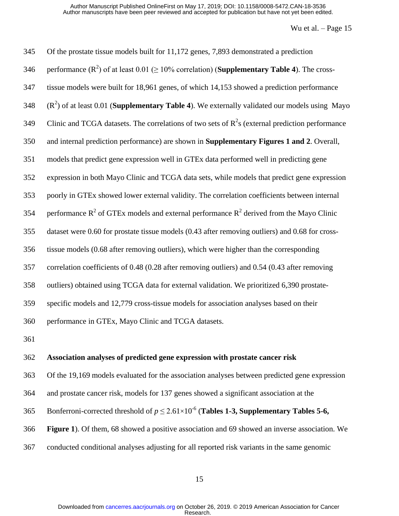| 345 | Of the prostate tissue models built for 11,172 genes, 7,893 demonstrated a prediction                        |
|-----|--------------------------------------------------------------------------------------------------------------|
| 346 | performance $(R^2)$ of at least 0.01 ( $\geq 10\%$ correlation) ( <b>Supplementary Table 4</b> ). The cross- |
| 347 | tissue models were built for 18,961 genes, of which 14,153 showed a prediction performance                   |
| 348 | $(R2)$ of at least 0.01 ( <b>Supplementary Table 4</b> ). We externally validated our models using Mayo      |
| 349 | Clinic and TCGA datasets. The correlations of two sets of $R^2$ s (external prediction performance           |
| 350 | and internal prediction performance) are shown in Supplementary Figures 1 and 2. Overall,                    |
| 351 | models that predict gene expression well in GTEx data performed well in predicting gene                      |
| 352 | expression in both Mayo Clinic and TCGA data sets, while models that predict gene expression                 |
| 353 | poorly in GTEx showed lower external validity. The correlation coefficients between internal                 |
| 354 | performance $R^2$ of GTEx models and external performance $R^2$ derived from the Mayo Clinic                 |
| 355 | dataset were 0.60 for prostate tissue models (0.43 after removing outliers) and 0.68 for cross-              |
| 356 | tissue models (0.68 after removing outliers), which were higher than the corresponding                       |
| 357 | correlation coefficients of 0.48 (0.28 after removing outliers) and 0.54 (0.43 after removing                |
| 358 | outliers) obtained using TCGA data for external validation. We prioritized 6,390 prostate-                   |
| 359 | specific models and 12,779 cross-tissue models for association analyses based on their                       |
| 360 | performance in GTEx, Mayo Clinic and TCGA datasets.                                                          |
| 361 |                                                                                                              |
| 362 | Association analyses of predicted gene expression with prostate cancer risk                                  |
| 363 | Of the 19,169 models evaluated for the association analyses between predicted gene expression                |
| 364 | and prostate cancer risk, models for 137 genes showed a significant association at the                       |
| 365 | Bonferroni-corrected threshold of $p \le 2.61 \times 10^{-6}$ (Tables 1-3, Supplementary Tables 5-6,         |

**Figure 1**). Of them, 68 showed a positive association and 69 showed an inverse association. We

conducted conditional analyses adjusting for all reported risk variants in the same genomic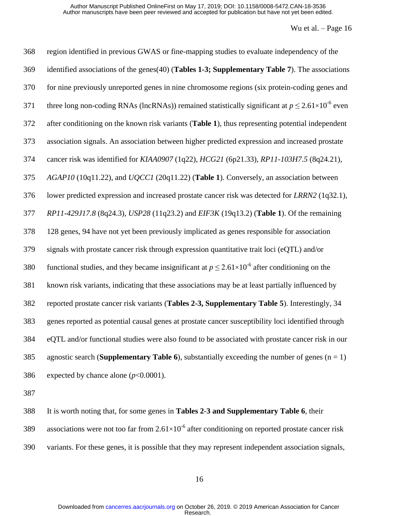| 368 | region identified in previous GWAS or fine-mapping studies to evaluate independency of the                   |
|-----|--------------------------------------------------------------------------------------------------------------|
| 369 | identified associations of the genes(40) (Tables 1-3; Supplementary Table 7). The associations               |
| 370 | for nine previously unreported genes in nine chromosome regions (six protein-coding genes and                |
| 371 | three long non-coding RNAs (lncRNAs)) remained statistically significant at $p \le 2.61 \times 10^{-6}$ even |
| 372 | after conditioning on the known risk variants (Table 1), thus representing potential independent             |
| 373 | association signals. An association between higher predicted expression and increased prostate               |
| 374 | cancer risk was identified for KIAA0907 (1q22), HCG21 (6p21.33), RP11-103H7.5 (8q24.21),                     |
| 375 | AGAP10 (10q11.22), and UQCC1 (20q11.22) (Table 1). Conversely, an association between                        |
| 376 | lower predicted expression and increased prostate cancer risk was detected for LRRN2 (1q32.1),               |
| 377 | RP11-429J17.8 (8q24.3), USP28 (11q23.2) and EIF3K (19q13.2) (Table 1). Of the remaining                      |
| 378 | 128 genes, 94 have not yet been previously implicated as genes responsible for association                   |
| 379 | signals with prostate cancer risk through expression quantitative trait loci (eQTL) and/or                   |
| 380 | functional studies, and they became insignificant at $p \le 2.61 \times 10^{-6}$ after conditioning on the   |
| 381 | known risk variants, indicating that these associations may be at least partially influenced by              |
| 382 | reported prostate cancer risk variants (Tables 2-3, Supplementary Table 5). Interestingly, 34                |
| 383 | genes reported as potential causal genes at prostate cancer susceptibility loci identified through           |
| 384 | eQTL and/or functional studies were also found to be associated with prostate cancer risk in our             |
| 385 | agnostic search (Supplementary Table 6), substantially exceeding the number of genes $(n = 1)$               |
| 386 | expected by chance alone $(p<0.0001)$ .                                                                      |
|     |                                                                                                              |

It is worth noting that, for some genes in **Tables 2**-**3 and Supplementary Table 6**, their

389 associations were not too far from  $2.61\times10^{-6}$  after conditioning on reported prostate cancer risk

variants. For these genes, it is possible that they may represent independent association signals,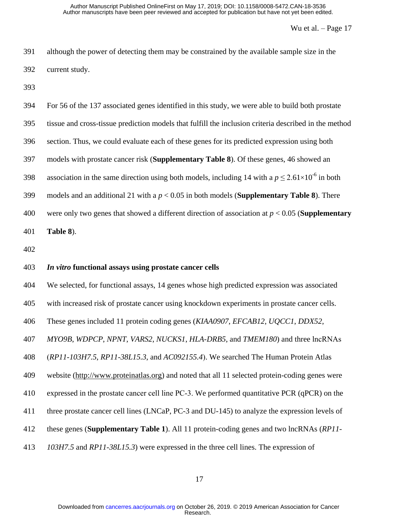| 391 | although the power of detecting them may be constrained by the available sample size in the |
|-----|---------------------------------------------------------------------------------------------|
| 392 | current study.                                                                              |

| 394 | For 56 of the 137 associated genes identified in this study, we were able to build both prostate             |
|-----|--------------------------------------------------------------------------------------------------------------|
| 395 | tissue and cross-tissue prediction models that fulfill the inclusion criteria described in the method        |
| 396 | section. Thus, we could evaluate each of these genes for its predicted expression using both                 |
| 397 | models with prostate cancer risk (Supplementary Table 8). Of these genes, 46 showed an                       |
| 398 | association in the same direction using both models, including 14 with a $p \le 2.61 \times 10^{-6}$ in both |
| 399 | models and an additional 21 with a $p < 0.05$ in both models ( <b>Supplementary Table 8</b> ). There         |
| 400 | were only two genes that showed a different direction of association at $p < 0.05$ ( <b>Supplementary</b>    |
| 401 | Table 8).                                                                                                    |
|     |                                                                                                              |

### *In vitro* **functional assays using prostate cancer cells**

We selected, for functional assays, 14 genes whose high predicted expression was associated

with increased risk of prostate cancer using knockdown experiments in prostate cancer cells.

These genes included 11 protein coding genes (*KIAA0907*, *EFCAB12*, *UQCC1*, *DDX52*,

*MYO9B*, *WDPCP*, *NPNT*, *VARS2*, *NUCKS1*, *HLA-DRB5*, and *TMEM180*) and three lncRNAs

(*RP11-103H7.5*, *RP11-38L15.3*, and *AC092155.4*). We searched The Human Protein Atlas

website [\(http://www.proteinatlas.org\)](http://www.proteinatlas.org/) and noted that all 11 selected protein-coding genes were

expressed in the prostate cancer cell line PC-3. We performed quantitative PCR (qPCR) on the

three prostate cancer cell lines (LNCaP, PC-3 and DU-145) to analyze the expression levels of

these genes (**Supplementary Table 1**). All 11 protein-coding genes and two lncRNAs (*RP11-*

*103H7.5* and *RP11-38L15.3*) were expressed in the three cell lines. The expression of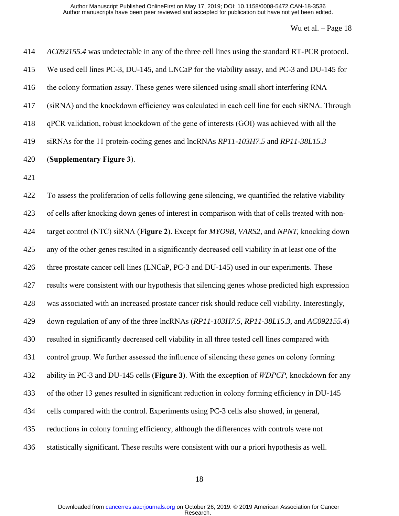| 414 | AC092155.4 was undetectable in any of the three cell lines using the standard RT-PCR protocol.      |
|-----|-----------------------------------------------------------------------------------------------------|
| 415 | We used cell lines PC-3, DU-145, and LNCaP for the viability assay, and PC-3 and DU-145 for         |
| 416 | the colony formation assay. These genes were silenced using small short interfering RNA             |
| 417 | (siRNA) and the knockdown efficiency was calculated in each cell line for each siRNA. Through       |
| 418 | qPCR validation, robust knockdown of the gene of interests (GOI) was achieved with all the          |
| 419 | siRNAs for the 11 protein-coding genes and lncRNAs RP11-103H7.5 and RP11-38L15.3                    |
| 420 | (Supplementary Figure 3).                                                                           |
| 421 |                                                                                                     |
| 422 | To assess the proliferation of cells following gene silencing, we quantified the relative viability |
| 423 | of cells after knocking down genes of interest in comparison with that of cells treated with non-   |
| 424 | target control (NTC) siRNA (Figure 2). Except for MYO9B, VARS2, and NPNT, knocking down             |
| 425 | any of the other genes resulted in a significantly decreased cell viability in at least one of the  |
| 426 | three prostate cancer cell lines (LNCaP, PC-3 and DU-145) used in our experiments. These            |
| 427 | results were consistent with our hypothesis that silencing genes whose predicted high expression    |
| 428 | was associated with an increased prostate cancer risk should reduce cell viability. Interestingly,  |
| 429 | down-regulation of any of the three lncRNAs (RP11-103H7.5, RP11-38L15.3, and AC092155.4)            |
| 430 | resulted in significantly decreased cell viability in all three tested cell lines compared with     |
| 431 | control group. We further assessed the influence of silencing these genes on colony forming         |
| 432 | ability in PC-3 and DU-145 cells (Figure 3). With the exception of WDPCP, knockdown for any         |
| 433 | of the other 13 genes resulted in significant reduction in colony forming efficiency in DU-145      |
| 434 | cells compared with the control. Experiments using PC-3 cells also showed, in general,              |
| 435 | reductions in colony forming efficiency, although the differences with controls were not            |

statistically significant. These results were consistent with our a priori hypothesis as well.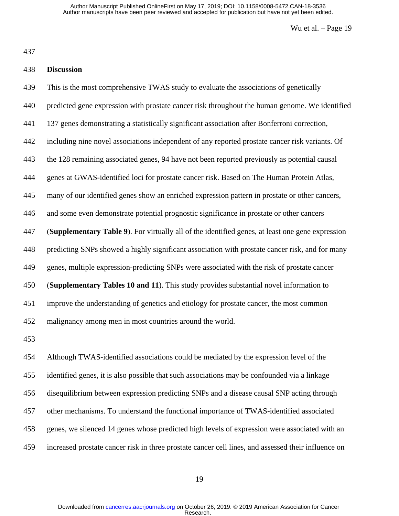## **Discussion**

 This is the most comprehensive TWAS study to evaluate the associations of genetically predicted gene expression with prostate cancer risk throughout the human genome. We identified 137 genes demonstrating a statistically significant association after Bonferroni correction, including nine novel associations independent of any reported prostate cancer risk variants. Of the 128 remaining associated genes, 94 have not been reported previously as potential causal genes at GWAS-identified loci for prostate cancer risk. Based on The Human Protein Atlas, many of our identified genes show an enriched expression pattern in prostate or other cancers, and some even demonstrate potential prognostic significance in prostate or other cancers (**Supplementary Table 9**). For virtually all of the identified genes, at least one gene expression predicting SNPs showed a highly significant association with prostate cancer risk, and for many genes, multiple expression-predicting SNPs were associated with the risk of prostate cancer (**Supplementary Tables 10 and 11**). This study provides substantial novel information to improve the understanding of genetics and etiology for prostate cancer, the most common malignancy among men in most countries around the world.

 Although TWAS-identified associations could be mediated by the expression level of the identified genes, it is also possible that such associations may be confounded via a linkage disequilibrium between expression predicting SNPs and a disease causal SNP acting through other mechanisms. To understand the functional importance of TWAS-identified associated genes, we silenced 14 genes whose predicted high levels of expression were associated with an increased prostate cancer risk in three prostate cancer cell lines, and assessed their influence on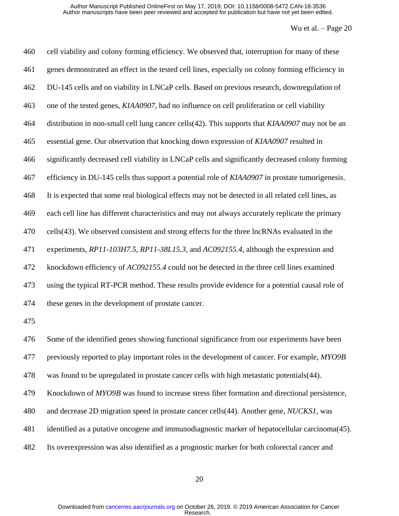| 460 | cell viability and colony forming efficiency. We observed that, interruption for many of these     |
|-----|----------------------------------------------------------------------------------------------------|
| 461 | genes demonstrated an effect in the tested cell lines, especially on colony forming efficiency in  |
| 462 | DU-145 cells and on viability in LNCaP cells. Based on previous research, downregulation of        |
| 463 | one of the tested genes, KIAA0907, had no influence on cell proliferation or cell viability        |
| 464 | distribution in non-small cell lung cancer cells(42). This supports that KIAA0907 may not be an    |
| 465 | essential gene. Our observation that knocking down expression of KIAA0907 resulted in              |
| 466 | significantly decreased cell viability in LNCaP cells and significantly decreased colony forming   |
| 467 | efficiency in DU-145 cells thus support a potential role of KIAA0907 in prostate tumorigenesis.    |
| 468 | It is expected that some real biological effects may not be detected in all related cell lines, as |
| 469 | each cell line has different characteristics and may not always accurately replicate the primary   |
| 470 | cells(43). We observed consistent and strong effects for the three lncRNAs evaluated in the        |
| 471 | experiments, RP11-103H7.5, RP11-38L15.3, and AC092155.4, although the expression and               |
| 472 | knockdown efficiency of AC092155.4 could not be detected in the three cell lines examined          |
| 473 | using the typical RT-PCR method. These results provide evidence for a potential causal role of     |
| 474 | these genes in the development of prostate cancer.                                                 |
| 475 |                                                                                                    |
| 476 | Some of the identified genes showing functional significance from our experiments have been        |
| 477 | previously reported to play important roles in the development of cancer. For example, MYO9B       |
| 478 | was found to be upregulated in prostate cancer cells with high metastatic potentials (44).         |

Knockdown of *MYO9B* was found to increase stress fiber formation and directional persistence,

and decrease 2D migration speed in prostate cancer cells[\(44\)](#page-26-8). Another gene, *NUCKS1*, was

identified as a putative oncogene and immunodiagnostic marker of hepatocellular carcinoma[\(45\)](#page-26-9).

Its overexpression was also identified as a prognostic marker for both colorectal cancer and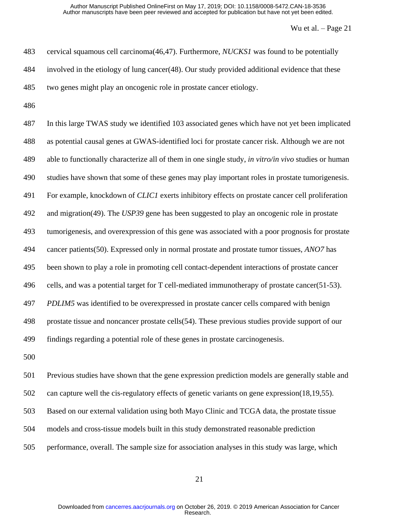| 483 | cervical squamous cell carcinoma( $46,47$ ). Furthermore, <i>NUCKS1</i> was found to be potentially |
|-----|-----------------------------------------------------------------------------------------------------|
| 484 | involved in the etiology of lung cancer(48). Our study provided additional evidence that these      |
| 485 | two genes might play an oncogenic role in prostate cancer etiology.                                 |

 In this large TWAS study we identified 103 associated genes which have not yet been implicated as potential causal genes at GWAS-identified loci for prostate cancer risk. Although we are not able to functionally characterize all of them in one single study, *in vitro/in vivo* studies or human studies have shown that some of these genes may play important roles in prostate tumorigenesis. For example, knockdown of *CLIC1* exerts inhibitory effects on prostate cancer cell proliferation and migration[\(49\)](#page-27-0). The *USP39* gene has been suggested to play an oncogenic role in prostate tumorigenesis, and overexpression of this gene was associated with a poor prognosis for prostate cancer patients[\(50\)](#page-27-1). Expressed only in normal prostate and prostate tumor tissues, *ANO7* has been shown to play a role in promoting cell contact-dependent interactions of prostate cancer cells, and was a potential target for T cell-mediated immunotherapy of prostate cancer[\(51-53\)](#page-27-2). *PDLIM5* was identified to be overexpressed in prostate cancer cells compared with benign prostate tissue and noncancer prostate cells[\(54\)](#page-27-3). These previous studies provide support of our findings regarding a potential role of these genes in prostate carcinogenesis.

 Previous studies have shown that the gene expression prediction models are generally stable and can capture well the cis-regulatory effects of genetic variants on gene expression[\(18](#page-25-1)[,19,](#page-25-10)[55\)](#page-27-4). Based on our external validation using both Mayo Clinic and TCGA data, the prostate tissue models and cross-tissue models built in this study demonstrated reasonable prediction performance, overall. The sample size for association analyses in this study was large, which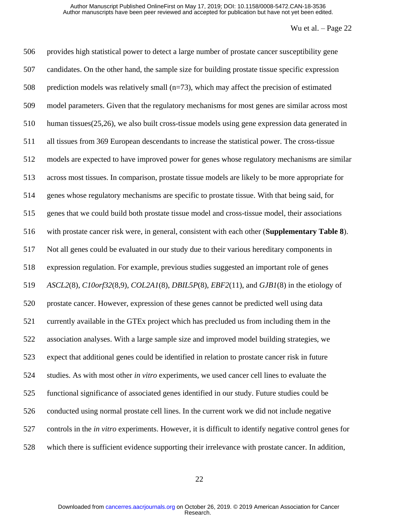provides high statistical power to detect a large number of prostate cancer susceptibility gene candidates. On the other hand, the sample size for building prostate tissue specific expression prediction models was relatively small (n=73), which may affect the precision of estimated model parameters. Given that the regulatory mechanisms for most genes are similar across most human tissues[\(25](#page-25-3)[,26\)](#page-25-11), we also built cross-tissue models using gene expression data generated in all tissues from 369 European descendants to increase the statistical power. The cross-tissue models are expected to have improved power for genes whose regulatory mechanisms are similar across most tissues. In comparison, prostate tissue models are likely to be more appropriate for genes whose regulatory mechanisms are specific to prostate tissue. With that being said, for genes that we could build both prostate tissue model and cross-tissue model, their associations with prostate cancer risk were, in general, consistent with each other (**Supplementary Table 8**). Not all genes could be evaluated in our study due to their various hereditary components in expression regulation. For example, previous studies suggested an important role of genes *ASCL2*[\(8\)](#page-24-5), *C10orf32*[\(8](#page-24-5)[,9\)](#page-24-8), *COL2A1*[\(8\)](#page-24-5), *DBIL5P*[\(8\)](#page-24-5), *EBF2*[\(11\)](#page-24-9), and *GJB1*[\(8\)](#page-24-5) in the etiology of prostate cancer. However, expression of these genes cannot be predicted well using data currently available in the GTEx project which has precluded us from including them in the association analyses. With a large sample size and improved model building strategies, we expect that additional genes could be identified in relation to prostate cancer risk in future studies. As with most other *in vitro* experiments, we used cancer cell lines to evaluate the functional significance of associated genes identified in our study. Future studies could be conducted using normal prostate cell lines. In the current work we did not include negative controls in the *in vitro* experiments. However, it is difficult to identify negative control genes for which there is sufficient evidence supporting their irrelevance with prostate cancer. In addition,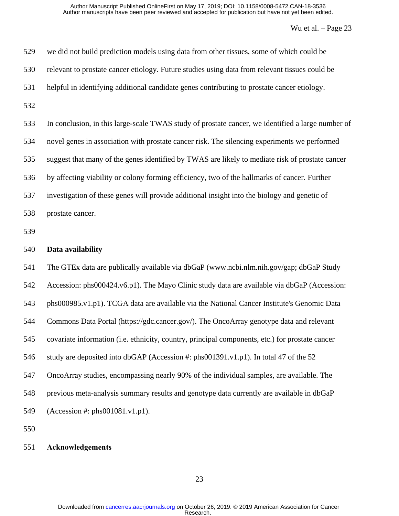| 529        | we did not build prediction models using data from other tissues, some of which could be          |
|------------|---------------------------------------------------------------------------------------------------|
| 530        | relevant to prostate cancer etiology. Future studies using data from relevant tissues could be    |
| 531        | helpful in identifying additional candidate genes contributing to prostate cancer etiology.       |
| 532        |                                                                                                   |
| 533        | In conclusion, in this large-scale TWAS study of prostate cancer, we identified a large number of |
| 534        | novel genes in association with prostate cancer risk. The silencing experiments we performed      |
| 535        | suggest that many of the genes identified by TWAS are likely to mediate risk of prostate cancer   |
| 536        | by affecting viability or colony forming efficiency, two of the hallmarks of cancer. Further      |
| 537        | investigation of these genes will provide additional insight into the biology and genetic of      |
| 538        | prostate cancer.                                                                                  |
| 539        |                                                                                                   |
|            |                                                                                                   |
| 540        | Data availability                                                                                 |
| 541        | The GTEx data are publically available via dbGaP (www.ncbi.nlm.nih.gov/gap; dbGaP Study           |
|            | Accession: phs000424.v6.p1). The Mayo Clinic study data are available via dbGaP (Accession:       |
| 542<br>543 | phs000985.v1.p1). TCGA data are available via the National Cancer Institute's Genomic Data        |
| 544        | Commons Data Portal (https://gdc.cancer.gov/). The OncoArray genotype data and relevant           |
| 545        | covariate information (i.e. ethnicity, country, principal components, etc.) for prostate cancer   |
| 546        | study are deposited into dbGAP (Accession #: phs001391.v1.p1). In total 47 of the 52              |
| 547        | OncoArray studies, encompassing nearly 90% of the individual samples, are available. The          |
| 548        | previous meta-analysis summary results and genotype data currently are available in dbGaP         |
| 549        | $(Accession$ #: $phs001081.v1.p1)$ .                                                              |

## **Acknowledgements**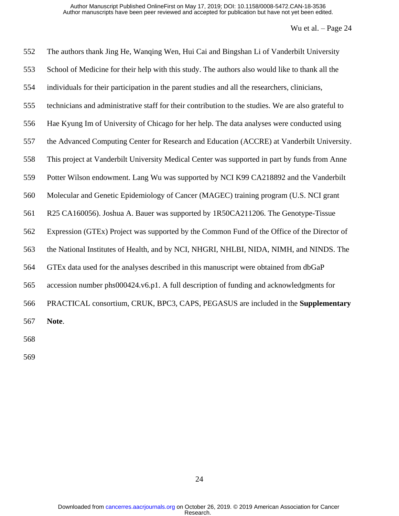| 552 | The authors thank Jing He, Wanqing Wen, Hui Cai and Bingshan Li of Vanderbilt University            |
|-----|-----------------------------------------------------------------------------------------------------|
| 553 | School of Medicine for their help with this study. The authors also would like to thank all the     |
| 554 | individuals for their participation in the parent studies and all the researchers, clinicians,      |
| 555 | technicians and administrative staff for their contribution to the studies. We are also grateful to |
| 556 | Hae Kyung Im of University of Chicago for her help. The data analyses were conducted using          |
| 557 | the Advanced Computing Center for Research and Education (ACCRE) at Vanderbilt University.          |
| 558 | This project at Vanderbilt University Medical Center was supported in part by funds from Anne       |
| 559 | Potter Wilson endowment. Lang Wu was supported by NCI K99 CA218892 and the Vanderbilt               |
| 560 | Molecular and Genetic Epidemiology of Cancer (MAGEC) training program (U.S. NCI grant               |
| 561 | R25 CA160056). Joshua A. Bauer was supported by 1R50CA211206. The Genotype-Tissue                   |
| 562 | Expression (GTEx) Project was supported by the Common Fund of the Office of the Director of         |
| 563 | the National Institutes of Health, and by NCI, NHGRI, NHLBI, NIDA, NIMH, and NINDS. The             |
| 564 | GTEx data used for the analyses described in this manuscript were obtained from dbGaP               |
| 565 | accession number phs000424.v6.p1. A full description of funding and acknowledgments for             |
| 566 | PRACTICAL consortium, CRUK, BPC3, CAPS, PEGASUS are included in the Supplementary                   |
| 567 | Note.                                                                                               |
| 500 |                                                                                                     |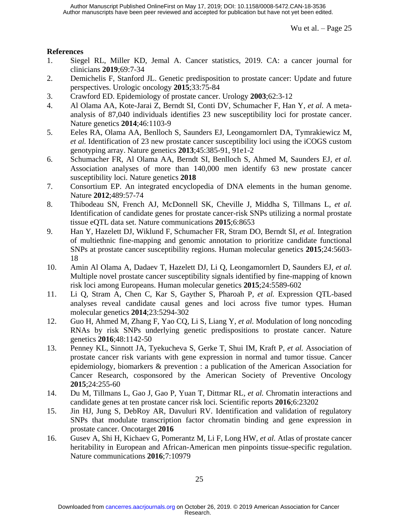### **References**

- <span id="page-24-0"></span>1. Siegel RL, Miller KD, Jemal A. Cancer statistics, 2019. CA: a cancer journal for clinicians **2019**;69:7-34
- <span id="page-24-1"></span>2. Demichelis F, Stanford JL. Genetic predisposition to prostate cancer: Update and future perspectives. Urologic oncology **2015**;33:75-84
- <span id="page-24-2"></span>3. Crawford ED. Epidemiology of prostate cancer. Urology **2003**;62:3-12
- <span id="page-24-3"></span>4. Al Olama AA, Kote-Jarai Z, Berndt SI, Conti DV, Schumacher F, Han Y*, et al.* A metaanalysis of 87,040 individuals identifies 23 new susceptibility loci for prostate cancer. Nature genetics **2014**;46:1103-9
- 5. Eeles RA, Olama AA, Benlloch S, Saunders EJ, Leongamornlert DA, Tymrakiewicz M*, et al.* Identification of 23 new prostate cancer susceptibility loci using the iCOGS custom genotyping array. Nature genetics **2013**;45:385-91, 91e1-2
- 6. Schumacher FR, Al Olama AA, Berndt SI, Benlloch S, Ahmed M, Saunders EJ*, et al.* Association analyses of more than 140,000 men identify 63 new prostate cancer susceptibility loci. Nature genetics **2018**
- <span id="page-24-4"></span>7. Consortium EP. An integrated encyclopedia of DNA elements in the human genome. Nature **2012**;489:57-74
- <span id="page-24-5"></span>8. Thibodeau SN, French AJ, McDonnell SK, Cheville J, Middha S, Tillmans L*, et al.* Identification of candidate genes for prostate cancer-risk SNPs utilizing a normal prostate tissue eQTL data set. Nature communications **2015**;6:8653
- <span id="page-24-8"></span>9. Han Y, Hazelett DJ, Wiklund F, Schumacher FR, Stram DO, Berndt SI*, et al.* Integration of multiethnic fine-mapping and genomic annotation to prioritize candidate functional SNPs at prostate cancer susceptibility regions. Human molecular genetics **2015**;24:5603- 18
- 10. Amin Al Olama A, Dadaev T, Hazelett DJ, Li Q, Leongamornlert D, Saunders EJ*, et al.* Multiple novel prostate cancer susceptibility signals identified by fine-mapping of known risk loci among Europeans. Human molecular genetics **2015**;24:5589-602
- <span id="page-24-9"></span>11. Li Q, Stram A, Chen C, Kar S, Gayther S, Pharoah P*, et al.* Expression QTL-based analyses reveal candidate causal genes and loci across five tumor types. Human molecular genetics **2014**;23:5294-302
- 12. Guo H, Ahmed M, Zhang F, Yao CQ, Li S, Liang Y*, et al.* Modulation of long noncoding RNAs by risk SNPs underlying genetic predispositions to prostate cancer. Nature genetics **2016**;48:1142-50
- <span id="page-24-6"></span>13. Penney KL, Sinnott JA, Tyekucheva S, Gerke T, Shui IM, Kraft P*, et al.* Association of prostate cancer risk variants with gene expression in normal and tumor tissue. Cancer epidemiology, biomarkers & prevention : a publication of the American Association for Cancer Research, cosponsored by the American Society of Preventive Oncology **2015**;24:255-60
- 14. Du M, Tillmans L, Gao J, Gao P, Yuan T, Dittmar RL*, et al.* Chromatin interactions and candidate genes at ten prostate cancer risk loci. Scientific reports **2016**;6:23202
- 15. Jin HJ, Jung S, DebRoy AR, Davuluri RV. Identification and validation of regulatory SNPs that modulate transcription factor chromatin binding and gene expression in prostate cancer. Oncotarget **2016**
- <span id="page-24-7"></span>16. Gusev A, Shi H, Kichaev G, Pomerantz M, Li F, Long HW*, et al.* Atlas of prostate cancer heritability in European and African-American men pinpoints tissue-specific regulation. Nature communications **2016**;7:10979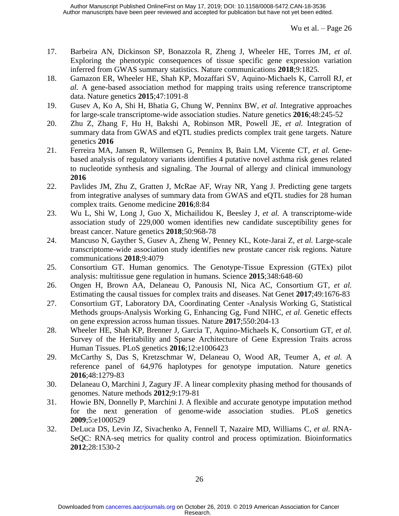- <span id="page-25-0"></span>17. Barbeira AN, Dickinson SP, Bonazzola R, Zheng J, Wheeler HE, Torres JM*, et al.* Exploring the phenotypic consequences of tissue specific gene expression variation inferred from GWAS summary statistics. Nature communications **2018**;9:1825.
- <span id="page-25-1"></span>18. Gamazon ER, Wheeler HE, Shah KP, Mozaffari SV, Aquino-Michaels K, Carroll RJ*, et al.* A gene-based association method for mapping traits using reference transcriptome data. Nature genetics **2015**;47:1091-8
- <span id="page-25-10"></span>19. Gusev A, Ko A, Shi H, Bhatia G, Chung W, Penninx BW*, et al.* Integrative approaches for large-scale transcriptome-wide association studies. Nature genetics **2016**;48:245-52
- 20. Zhu Z, Zhang F, Hu H, Bakshi A, Robinson MR, Powell JE*, et al.* Integration of summary data from GWAS and eQTL studies predicts complex trait gene targets. Nature genetics **2016**
- 21. Ferreira MA, Jansen R, Willemsen G, Penninx B, Bain LM, Vicente CT*, et al.* Genebased analysis of regulatory variants identifies 4 putative novel asthma risk genes related to nucleotide synthesis and signaling. The Journal of allergy and clinical immunology **2016**
- 22. Pavlides JM, Zhu Z, Gratten J, McRae AF, Wray NR, Yang J. Predicting gene targets from integrative analyses of summary data from GWAS and eQTL studies for 28 human complex traits. Genome medicine **2016**;8:84
- 23. Wu L, Shi W, Long J, Guo X, Michailidou K, Beesley J*, et al.* A transcriptome-wide association study of 229,000 women identifies new candidate susceptibility genes for breast cancer. Nature genetics **2018**;50:968-78
- <span id="page-25-2"></span>24. Mancuso N, Gayther S, Gusev A, Zheng W, Penney KL, Kote-Jarai Z*, et al.* Large-scale transcriptome-wide association study identifies new prostate cancer risk regions. Nature communications **2018**;9:4079
- <span id="page-25-3"></span>25. Consortium GT. Human genomics. The Genotype-Tissue Expression (GTEx) pilot analysis: multitissue gene regulation in humans. Science **2015**;348:648-60
- <span id="page-25-11"></span>26. Ongen H, Brown AA, Delaneau O, Panousis NI, Nica AC, Consortium GT*, et al.* Estimating the causal tissues for complex traits and diseases. Nat Genet **2017**;49:1676-83
- <span id="page-25-8"></span>27. Consortium GT, Laboratory DA, Coordinating Center -Analysis Working G, Statistical Methods groups-Analysis Working G, Enhancing Gg, Fund NIHC*, et al.* Genetic effects on gene expression across human tissues. Nature **2017**;550:204-13
- <span id="page-25-4"></span>28. Wheeler HE, Shah KP, Brenner J, Garcia T, Aquino-Michaels K, Consortium GT*, et al.* Survey of the Heritability and Sparse Architecture of Gene Expression Traits across Human Tissues. PLoS genetics **2016**;12:e1006423
- <span id="page-25-5"></span>29. McCarthy S, Das S, Kretzschmar W, Delaneau O, Wood AR, Teumer A*, et al.* A reference panel of 64,976 haplotypes for genotype imputation. Nature genetics **2016**;48:1279-83
- <span id="page-25-6"></span>30. Delaneau O, Marchini J, Zagury JF. A linear complexity phasing method for thousands of genomes. Nature methods **2012**;9:179-81
- <span id="page-25-7"></span>31. Howie BN, Donnelly P, Marchini J. A flexible and accurate genotype imputation method for the next generation of genome-wide association studies. PLoS genetics **2009**;5:e1000529
- <span id="page-25-9"></span>32. DeLuca DS, Levin JZ, Sivachenko A, Fennell T, Nazaire MD, Williams C*, et al.* RNA-SeQC: RNA-seq metrics for quality control and process optimization. Bioinformatics **2012**;28:1530-2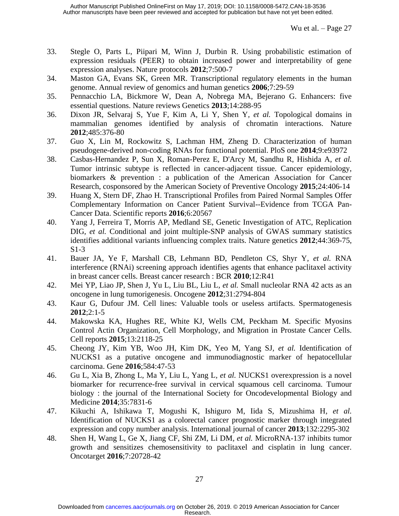- <span id="page-26-0"></span>33. Stegle O, Parts L, Piipari M, Winn J, Durbin R. Using probabilistic estimation of expression residuals (PEER) to obtain increased power and interpretability of gene expression analyses. Nature protocols **2012**;7:500-7
- 34. Maston GA, Evans SK, Green MR. Transcriptional regulatory elements in the human genome. Annual review of genomics and human genetics **2006**;7:29-59
- <span id="page-26-13"></span>35. Pennacchio LA, Bickmore W, Dean A, Nobrega MA, Bejerano G. Enhancers: five essential questions. Nature reviews Genetics **2013**;14:288-95
- 36. Dixon JR, Selvaraj S, Yue F, Kim A, Li Y, Shen Y*, et al.* Topological domains in mammalian genomes identified by analysis of chromatin interactions. Nature **2012**;485:376-80
- <span id="page-26-1"></span>37. Guo X, Lin M, Rockowitz S, Lachman HM, Zheng D. Characterization of human pseudogene-derived non-coding RNAs for functional potential. PloS one **2014**;9:e93972
- <span id="page-26-2"></span>38. Casbas-Hernandez P, Sun X, Roman-Perez E, D'Arcy M, Sandhu R, Hishida A*, et al.* Tumor intrinsic subtype is reflected in cancer-adjacent tissue. Cancer epidemiology, biomarkers & prevention : a publication of the American Association for Cancer Research, cosponsored by the American Society of Preventive Oncology **2015**;24:406-14
- <span id="page-26-3"></span>39. Huang X, Stern DF, Zhao H. Transcriptional Profiles from Paired Normal Samples Offer Complementary Information on Cancer Patient Survival--Evidence from TCGA Pan-Cancer Data. Scientific reports **2016**;6:20567
- <span id="page-26-4"></span>40. Yang J, Ferreira T, Morris AP, Medland SE, Genetic Investigation of ATC, Replication DIG*, et al.* Conditional and joint multiple-SNP analysis of GWAS summary statistics identifies additional variants influencing complex traits. Nature genetics **2012**;44:369-75, S1-3
- <span id="page-26-5"></span>41. Bauer JA, Ye F, Marshall CB, Lehmann BD, Pendleton CS, Shyr Y*, et al.* RNA interference (RNAi) screening approach identifies agents that enhance paclitaxel activity in breast cancer cells. Breast cancer research : BCR **2010**;12:R41
- <span id="page-26-6"></span>42. Mei YP, Liao JP, Shen J, Yu L, Liu BL, Liu L*, et al.* Small nucleolar RNA 42 acts as an oncogene in lung tumorigenesis. Oncogene **2012**;31:2794-804
- <span id="page-26-7"></span>43. Kaur G, Dufour JM. Cell lines: Valuable tools or useless artifacts. Spermatogenesis **2012**;2:1-5
- <span id="page-26-8"></span>44. Makowska KA, Hughes RE, White KJ, Wells CM, Peckham M. Specific Myosins Control Actin Organization, Cell Morphology, and Migration in Prostate Cancer Cells. Cell reports **2015**;13:2118-25
- <span id="page-26-9"></span>45. Cheong JY, Kim YB, Woo JH, Kim DK, Yeo M, Yang SJ*, et al.* Identification of NUCKS1 as a putative oncogene and immunodiagnostic marker of hepatocellular carcinoma. Gene **2016**;584:47-53
- <span id="page-26-10"></span>46. Gu L, Xia B, Zhong L, Ma Y, Liu L, Yang L*, et al.* NUCKS1 overexpression is a novel biomarker for recurrence-free survival in cervical squamous cell carcinoma. Tumour biology : the journal of the International Society for Oncodevelopmental Biology and Medicine **2014**;35:7831-6
- <span id="page-26-11"></span>47. Kikuchi A, Ishikawa T, Mogushi K, Ishiguro M, Iida S, Mizushima H*, et al.* Identification of NUCKS1 as a colorectal cancer prognostic marker through integrated expression and copy number analysis. International journal of cancer **2013**;132:2295-302
- <span id="page-26-12"></span>48. Shen H, Wang L, Ge X, Jiang CF, Shi ZM, Li DM*, et al.* MicroRNA-137 inhibits tumor growth and sensitizes chemosensitivity to paclitaxel and cisplatin in lung cancer. Oncotarget **2016**;7:20728-42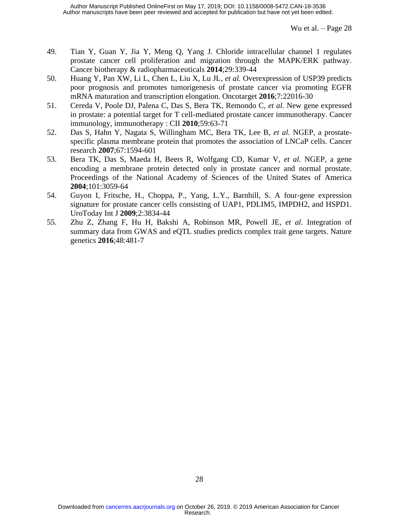- <span id="page-27-0"></span>49. Tian Y, Guan Y, Jia Y, Meng Q, Yang J. Chloride intracellular channel 1 regulates prostate cancer cell proliferation and migration through the MAPK/ERK pathway. Cancer biotherapy & radiopharmaceuticals **2014**;29:339-44
- <span id="page-27-1"></span>50. Huang Y, Pan XW, Li L, Chen L, Liu X, Lu JL*, et al.* Overexpression of USP39 predicts poor prognosis and promotes tumorigenesis of prostate cancer via promoting EGFR mRNA maturation and transcription elongation. Oncotarget **2016**;7:22016-30
- <span id="page-27-2"></span>51. Cereda V, Poole DJ, Palena C, Das S, Bera TK, Remondo C*, et al.* New gene expressed in prostate: a potential target for T cell-mediated prostate cancer immunotherapy. Cancer immunology, immunotherapy : CII **2010**;59:63-71
- 52. Das S, Hahn Y, Nagata S, Willingham MC, Bera TK, Lee B*, et al.* NGEP, a prostatespecific plasma membrane protein that promotes the association of LNCaP cells. Cancer research **2007**;67:1594-601
- 53. Bera TK, Das S, Maeda H, Beers R, Wolfgang CD, Kumar V*, et al.* NGEP, a gene encoding a membrane protein detected only in prostate cancer and normal prostate. Proceedings of the National Academy of Sciences of the United States of America **2004**;101:3059-64
- <span id="page-27-3"></span>54. Guyon I, Fritsche, H., Choppa, P., Yang, L.Y., Barnhill, S. A four-gene expression signature for prostate cancer cells consisting of UAP1, PDLIM5, IMPDH2, and HSPD1. UroToday Int J **2009**;2:3834-44
- <span id="page-27-4"></span>55. Zhu Z, Zhang F, Hu H, Bakshi A, Robinson MR, Powell JE*, et al.* Integration of summary data from GWAS and eQTL studies predicts complex trait gene targets. Nature genetics **2016**;48:481-7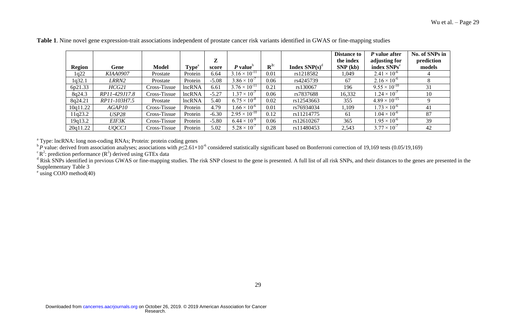|               |                 |              |                   |         |                        |                       |                  | <b>Distance to</b> | P value after           | No. of SNPs in |
|---------------|-----------------|--------------|-------------------|---------|------------------------|-----------------------|------------------|--------------------|-------------------------|----------------|
|               |                 |              |                   | Z       |                        |                       |                  | the index          | adjusting for           | prediction     |
| <b>Region</b> | Gene            | <b>Model</b> | Type <sup>a</sup> | score   | $P valueb$             | ${\bf R}^{\text{2c}}$ | Index $SNP(s)^d$ | SNP(kb)            | index SNPs <sup>e</sup> | models         |
| 1q22          | <b>KIAA0907</b> | Prostate     | Protein           | 6.64    | $3.16 \times 10^{-11}$ | 0.01                  | rs1218582        | 1,049              | $2.41 \times 10^{-6}$   |                |
| 1q32.1        | LRRN2           | Prostate     | Protein           | $-5.08$ | $3.86 \times 10^{-7}$  | 0.06                  | rs4245739        | 67                 | $2.16 \times 10^{-6}$   |                |
| 6p21.33       | HCG21           | Cross-Tissue | lncRNA            | 6.61    | $3.76 \times 10^{-11}$ | 0.21                  | rs130067         | 196                | $9.55 \times 10^{-10}$  | 31             |
| 8q24.3        | RP11-429J17.8   | Cross-Tissue | lncRNA            | $-5.27$ | $1.37 \times 10^{-7}$  | 0.06                  | rs7837688        | 16,332             | $1.24 \times 10^{-7}$   | 10             |
| 8q24.21       | RP11-103H7.5    | Prostate     | lncRNA            | 5.40    | $6.75 \times 10^{-8}$  | 0.02                  | rs12543663       | 355                | $4.89 \times 10^{-15}$  |                |
| 10q11.22      | AGAP10          | Cross-Tissue | Protein           | 4.79    | $1.66 \times 10^{-6}$  | 0.01                  | rs76934034       | 1,109              | $1.73 \times 10^{-6}$   | 41             |
| l 1q23.2      | USP28           | Cross-Tissue | Protein           | $-6.30$ | $2.95 \times 10^{-10}$ | 0.12                  | rs11214775       | 61                 | $1.04 \times 10^{-6}$   | 87             |
| 19q13.2       | EIF3K           | Cross-Tissue | Protein           | $-5.80$ | $6.44 \times 10^{-9}$  | 0.06                  | rs12610267       | 365                | $.95 \times 10^{-6}$    | 39             |
| 20q11.22      | <i>UQCC1</i>    | Cross-Tissue | Protein           | 5.02    | $5.28 \times 10^{-7}$  | 0.28                  | rs11480453       | 2,543              | $3.77 \times 10^{-7}$   | 42             |

**Table 1**. Nine novel gene expression-trait associations independent of prostate cancer risk variants identified in GWAS or fine-mapping studies

<sup>a</sup> Type: lncRNA: long non-coding RNAs; Protein: protein coding genes

<sup>b</sup> *P* value: derived from association analyses; associations with  $p≤2.61×10<sup>-6</sup>$  considered statistically significant based on Bonferroni correction of 19,169 tests (0.05/19,169)

 ${}^{\text{c}}\text{R}^2$ : prediction performance ( $\text{R}^2$ ) derived using GTEx data

<sup>d</sup> Risk SNPs identified in previous GWAS or fine-mapping studies. The risk SNP closest to the gene is presented. A full list of all risk SNPs, and their distances to the genes are presented in the Supplementary Table 3

<sup>e</sup> using COJO method[\(40\)](#page-26-13)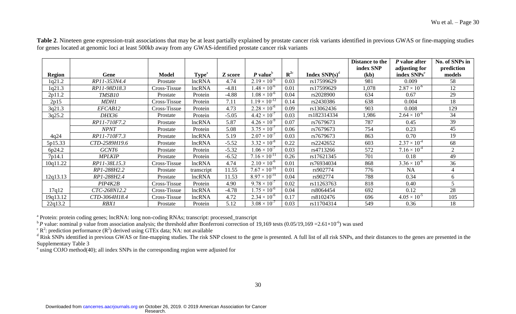|               |               |              |                   |         |                        |                       |                                 | Distance to the | P value after           | No. of SNPs in |
|---------------|---------------|--------------|-------------------|---------|------------------------|-----------------------|---------------------------------|-----------------|-------------------------|----------------|
|               |               |              |                   |         |                        |                       |                                 | index SNP       | adjusting for           | prediction     |
| <b>Region</b> | Gene          | Model        | Type <sup>a</sup> | Z score | $P valueb$             | ${\bf R}^{\text{2c}}$ | <b>Index SNP(s)<sup>d</sup></b> | (kb)            | index SNPs <sup>e</sup> | models         |
| 1q21.2        | RP11-353N4.4  | Prostate     | lncRNA            | 4.74    | $2.19 \times 10^{-6}$  | 0.03                  | rs17599629                      | 981             | 0.009                   | 58             |
| 1q21.3        | RP11-98D18.3  | Cross-Tissue | lncRNA            | $-4.81$ | $.48 \times 10^{-6}$   | 0.01                  | rs17599629                      | 1,078           | $2.87 \times 10^{-6}$   | 12             |
| 2p11.2        | TMSB10        | Prostate     | Protein           | $-4.88$ | $1.08 \times 10^{-6}$  | 0.04                  | rs2028900                       | 634             | 0.67                    | 29             |
| 2p15          | <b>MDH1</b>   | Cross-Tissue | Protein           | 7.11    | $1.19 \times 10^{-12}$ | 0.14                  | rs2430386                       | 638             | 0.004                   | 18             |
| 3q21.3        | EFCAB12       | Cross-Tissue | Protein           | 4.73    | $2.28 \times 10^{-6}$  | 0.09                  | rs13062436                      | 903             | 0.008                   | 129            |
| 3q25.2        | <b>DHX36</b>  | Prostate     | Protein           | $-5.05$ | $4.42 \times 10^{-7}$  | 0.03                  | rs182314334                     | 1,986           | $2.64 \times 10^{-6}$   | 34             |
|               | RP11-710F7.2  | Prostate     | lncRNA            | 5.87    | $4.26 \times 10^{-9}$  | 0.07                  | rs7679673                       | 787             | 0.45                    | 39             |
|               | <b>NPNT</b>   | Prostate     | Protein           | 5.08    | $3.75 \times 10^{-7}$  | 0.06                  | rs7679673                       | 754             | 0.23                    | 45             |
| 4q24          | RP11-710F7.3  | Prostate     | lncRNA            | 5.19    | $2.07 \times 10^{-7}$  | 0.03                  | rs7679673                       | 863             | 0.70                    | 19             |
| 5p15.33       | CTD-2589H19.6 | Prostate     | lncRNA            | $-5.52$ | $3.32 \times 10^{-8}$  | 0.22                  | rs2242652                       | 603             | $2.37 \times 10^{-4}$   | 68             |
| 6p24.2        | GCNT6         | Prostate     | Protein           | $-5.32$ | $.06 \times 10^{-7}$   | 0.03                  | rs4713266                       | 572             | $7.16 \times 10^{-4}$   | $\overline{2}$ |
| 7p14.1        | <b>MPLKIP</b> | Prostate     | Protein           | $-6.52$ | $7.16 \times 10^{-11}$ | 0.26                  | rs17621345                      | 701             | 0.18                    | 49             |
| 10q11.22      | RP11-38L15.3  | Cross-Tissue | lncRNA            | 4.74    | $2.10 \times 10^{-6}$  | 0.01                  | rs76934034                      | 868             | $3.36 \times 10^{-6}$   | 36             |
|               | RP1-288H2.2   | Prostate     | transcript        | 11.55   | $7.67 \times 10^{-31}$ | 0.01                  | rs902774                        | 776             | NA                      | 4              |
| 12q13.13      | RP1-288H2.4   | Prostate     | lncRNA            | 11.53   | $8.97 \times 10^{-31}$ | 0.04                  | rs902774                        | 788             | 0.34                    | 6              |
|               | PIP4K2B       | Cross-Tissue | Protein           | 4.90    | $9.78 \times 10^{-7}$  | 0.02                  | rs11263763                      | 818             | 0.40                    |                |
| 17q12         | CTC-268N12.2  | Cross-Tissue | lncRNA            | $-4.78$ | $1.75 \times 10^{-6}$  | 0.04                  | rs8064454                       | 692             | 0.12                    | 28             |
| 19q13.12      | CTD-3064H18.4 | Cross-Tissue | lncRNA            | 4.72    | $2.34 \times 10^{-6}$  | 0.17                  | rs8102476                       | 696             | $4.05 \times 10^{-5}$   | 105            |
| 22q13.2       | <b>RBX1</b>   | Prostate     | Protein           | 5.12    | $3.08 \times 10^{-7}$  | 0.03                  | rs11704314                      | 549             | 0.36                    | 18             |

Table 2. Nineteen gene expression-trait associations that may be at least partially explained by prostate cancer risk variants identified in previous GWAS or fine-mapping studies for genes located at genomic loci at least 500kb away from any GWAS-identified prostate cancer risk variants

<sup>a</sup> Protein: protein coding genes; lncRNA: long non-coding RNAs; transcript: processed\_transcript

 $^{\text{b}}P$  value: nominal p value from association analysis; the threshold after Bonferroni correction of 19,169 tests (0.05/19,169 = 2.61×10<sup>-6</sup>) was used

 $\binom{c}{k}$  prediction performance ( $\binom{R^2}{k}$  derived using GTEx data; NA: not available

<sup>d</sup> Risk SNPs identified in previous GWAS or fine-mapping studies. The risk SNP closest to the gene is presented. A full list of all risk SNPs, and their distances to the genes are presented in the Supplementary Table 3

<sup>e</sup> using COJO method[\(40\)](#page-26-13); all index SNPs in the corresponding region were adjusted for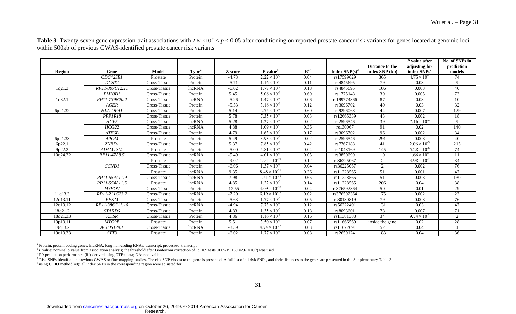|          |                   |              |                   |          |                        |                    |                    | Distance to the  | $P$ value after<br>adjusting for | No. of SNPs in<br>prediction |
|----------|-------------------|--------------|-------------------|----------|------------------------|--------------------|--------------------|------------------|----------------------------------|------------------------------|
| Region   | Gene              | Model        | Type <sup>a</sup> | Z score  | $P$ value <sup>b</sup> | ${\bf R}^{\rm 2c}$ | Index $SNP(s)^{d}$ | index SNP (kb)   | index SNPs <sup>e</sup>          | models                       |
|          | CDC42SE1          | Prostate     | Protein           | $-4.73$  | $2.22 \times 10^{-6}$  | 0.04               | rs17599629         | 365              | $4.75 \times 10^{-4}$            | 74                           |
|          | DCST <sub>2</sub> | Cross-Tissue | Protein           | $-5.71$  | $1.16 \times 10^{-8}$  | 0.11               | rs4845695          | 79               | 0.03                             | 9                            |
| 1q21.3   | RP11-307C12.11    | Cross-Tissue | lncRNA            | $-6.02$  | $1.77 \times 10^{-9}$  | $0.18\,$           | rs4845695          | 106              | 0.003                            | 40                           |
|          | <b>PM20D1</b>     | Cross-Tissue | Protein           | 5.45     | $5.06 \times 10^{-8}$  | 0.69               | rs1775148          | 39               | 0.005                            | 73                           |
| 1q32.1   | RP11-739N20.2     | Cross-Tissue | <b>lncRNA</b>     | $-5.26$  | $1.47 \times 10^{-7}$  | 0.06               | rs199774366        | 87               | 0.03                             | $\overline{10}$              |
|          | AGER              | Cross-Tissue | Protein           | $-5.53$  | $3.16 \times 10^{-8}$  | 0.12               | rs3096702          | 40               | 0.03                             | $32\,$                       |
| 6p21.32  | HLA-DPA1          | Cross-Tissue | Protein           | 5.14     | $2.75 \times 10^{-7}$  | 0.60               | rs9296068          | 44               | 0.007                            | 129                          |
|          | PPPIR18           | Cross-Tissue | Protein           | 5.78     | $7.35 \times 10^{-9}$  | 0.03               | rs12665339         | 43               | 0.002                            | 18                           |
|          | HCP5              | Cross-Tissue | <b>lncRNA</b>     | 5.28     | $1.27 \times 10^{-7}$  | 0.02               | rs2596546          | 39               | $7.16 \times 10^{-4}$            | 9                            |
|          | HCG22             | Cross-Tissue | <b>lncRNA</b>     | 4.88     | $1.09 \times 10^{-6}$  | 0.36               | rs130067           | 91               | 0.02                             | 140                          |
|          | ATF6B             | Cross-Tissue | Protein           | 4.79     | $1.63 \times 10^{-6}$  | 0.17               | rs3096702          | 96               | 0.002                            | 34                           |
| 6p21.33  | <b>APOM</b>       | Prostate     | Protein           | 5.49     | $3.93 \times 10^{-8}$  | 0.02               | rs2596546          | 291              | 0.008                            | 40                           |
| 6p22.1   | ZNRD1             | Cross-Tissue | Protein           | 5.37     | $7.85 \times 10^{-8}$  | 0.42               | rs7767188          | 41               | $2.06 \times 10^{-5}$            | 215                          |
| 9p22.2   | <b>ADAMTSL1</b>   | Prostate     | Protein           | $-5.00$  | $5.81 \times 10^{-7}$  | 0.04               | rs1048169          | 145              | $5.28 \times 10^{-6}$            | 74                           |
| 10q24.32 | RP11-47A8.5       | Cross-Tissue | <b>lncRNA</b>     | $-5.49$  | $4.01 \times 10^{-8}$  | 0.05               | rs3850699          | 10               | $1.66 \times 10^{-4}$            | 11                           |
|          |                   | Prostate     | Protein           | $-9.02$  | $1.94 \times 10^{-19}$ | 0.12               | rs36225067         | 2                | $3.98 \times 10^{-7}$            | 34                           |
|          | <b>CCND1</b>      | Cross-Tissue | Protein           | $-6.06$  | $1.37 \times 10^{-9}$  | 0.04               | rs36225067         | 2                | 0.002                            | 76                           |
|          |                   | Prostate     | <b>lncRNA</b>     | 9.35     | $8.48 \times 10^{-21}$ | 0.36               | rs11228565         | 51               | 0.001                            | $\overline{47}$              |
|          | RP11-554A11.9     | Cross-Tissue | <b>lncRNA</b>     | 7.98     | $1.51 \times 10^{-15}$ | 0.65               | rs11228565         | 51               | 0.003                            | 130                          |
|          | RP11-554A11.5     | Prostate     | <b>lncRNA</b>     | 4.85     | $1.22 \times 10^{-6}$  | 0.14               | rs11228565         | 206              | 0.04                             | $\overline{38}$              |
|          | <b>MYEOV</b>      | Cross-Tissue | Protein           | $-12.55$ | $4.09 \times 10^{-36}$ | 0.04               | rs376592364        | 50               | 0.01                             | 29                           |
| 11q13.3  | RP11-211G23.2     | Cross-Tissue | <b>lncRNA</b>     | $-7.20$  | $6.19 \times 10^{-13}$ | 0.02               | rs376592364        | $\overline{175}$ | 0.002                            | $\overline{23}$              |
| 12q13.11 | <b>PFKM</b>       | Cross-Tissue | Protein           | $-5.63$  | $1.77 \times 10^{-8}$  | 0.05               | rs80130819         | 79               | 0.008                            | 76                           |
| 12q13.12 | RP11-386G11.10    | Cross-Tissue | <b>lncRNA</b>     | $-4.94$  | $7.73 \times 10^{-7}$  | 0.12               | rs56222401         | 131              | 0.03                             | 47                           |
| 18q21.2  | STARD6            | Cross-Tissue | Protein           | 4.83     | $1.35 \times 10^{-6}$  | 0.18               | rs8093601          | 78               | 0.007                            | $\overline{71}$              |
| 18q21.33 | <b>KDSR</b>       | Cross-Tissue | Protein           | 4.86     | $1.16 \times 10^{-6}$  | 0.16               | rs11381388         | 34               | $9.74 \times 10^{-4}$            | 2                            |
| 19p13.11 | MYO9B             | Prostate     | Protein           | 5.51     | $3.50 \times 10^{-8}$  | 0.07               | rs11666569         | inside the gene  | 0.02                             | 28                           |
| 19q13.2  | AC006129.1        | Cross-Tissue | lncRNA            | $-8.39$  | $4.74 \times 10^{-17}$ | 0.03               | rs11672691         | 52               | 0.04                             |                              |
| 19q13.33 | SYT3              | Prostate     | Protein           | $-6.02$  | $1.77 \times 10^{-9}$  | 0.08               | rs2659124          | 183              | 0.04                             | 36                           |

**Table 3**. Twenty-seven gene expression-trait associations with  $2.61 \times 10^{-6} < p < 0.05$  after conditioning on reported prostate cancer risk variants for genes located at genomic loci within 500kb of previous GWAS-identified prostate cancer risk variants

<sup>a</sup> Protein: protein coding genes; lncRNA: long non-coding RNAs; transcript: processed\_transcript

 $\mu$ <sup>b</sup> *P* value: nominal p value from association analysis; the threshold after Bonferroni correction of 19,169 tests (0.05/19,169 = 2.61×10<sup>-6</sup>) was used

 $\rm\,^{c}$  R<sup>2</sup>: prediction performance (R<sup>2</sup>) derived using GTEx data; NA: not available

 $\alpha$  Risk SNPs identified in previous GWAS or fine-mapping studies. The risk SNP closest to the gene is presented. A full list of all risk SNPs, and their distances to the genes are presented in the Supplementary Table 3

e using COJO method[\(40\)](#page-26-13); all index SNPs in the corresponding region were adjusted for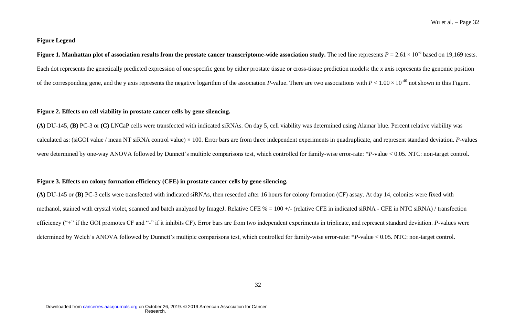## **Figure Legend**

**Figure 1. Manhattan plot of association results from the prostate cancer transcriptome-wide association study.** The red line represents  $P = 2.61 \times 10^{-6}$  based on 19,169 tests. Each dot represents the genetically predicted expression of one specific gene by either prostate tissue or cross-tissue prediction models: the x axis represents the genomic position of the corresponding gene, and the y axis represents the negative logarithm of the association *P*-value. There are two associations with  $P < 1.00 \times 10^{-40}$  not shown in this Figure.

## **Figure 2. Effects on cell viability in prostate cancer cells by gene silencing.**

**(A)** DU-145, **(B)** PC-3 or **(C)** LNCaP cells were transfected with indicated siRNAs. On day 5, cell viability was determined using Alamar blue. Percent relative viability was calculated as: (siGOI value / mean NT siRNA control value) × 100. Error bars are from three independent experiments in quadruplicate, and represent standard deviation. *P*-values were determined by one-way ANOVA followed by Dunnett's multiple comparisons test, which controlled for family-wise error-rate: \**P*-value < 0.05. NTC: non-target control.

## **Figure 3. Effects on colony formation efficiency (CFE) in prostate cancer cells by gene silencing.**

**(A)** DU-145 or **(B)** PC-3 cells were transfected with indicated siRNAs, then reseeded after 16 hours for colony formation (CF) assay. At day 14, colonies were fixed with methanol, stained with crystal violet, scanned and batch analyzed by ImageJ. Relative CFE % = 100 +/- (relative CFE in indicated siRNA - CFE in NTC siRNA) / transfection efficiency ("+" if the GOI promotes CF and "-" if it inhibits CF). Error bars are from two independent experiments in triplicate, and represent standard deviation. *P*-values were determined by Welch's ANOVA followed by Dunnett's multiple comparisons test, which controlled for family-wise error-rate: \**P*-value < 0.05. NTC: non-target control.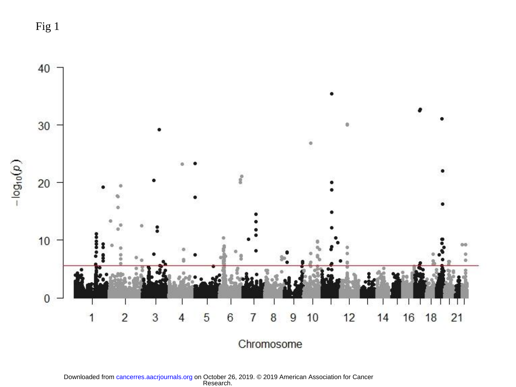Fig 1



Research. Downloaded from [cancerres.aacrjournals.org o](http://cancerres.aacrjournals.org/)n October 26, 2019. © 2019 American Association for Cancer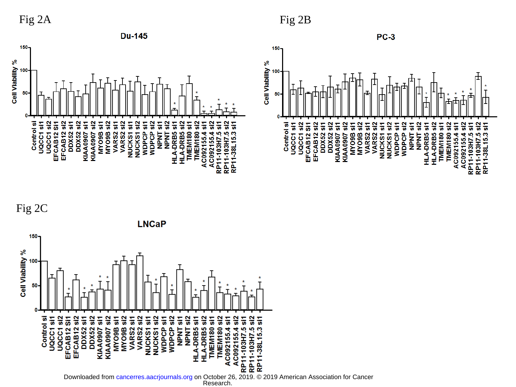







Research. Downloaded from [cancerres.aacrjournals.org o](http://cancerres.aacrjournals.org/)n October 26, 2019. © 2019 American Association for Cancer

Fig 2A Fig 2B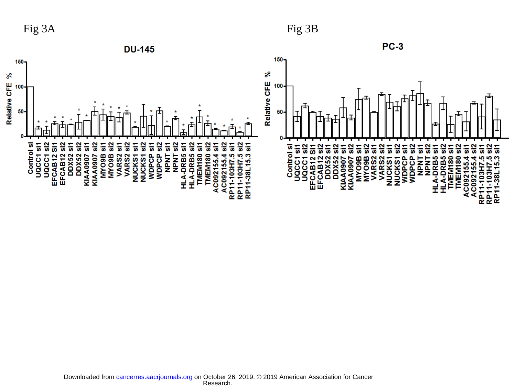Fig 3A Fig 3B